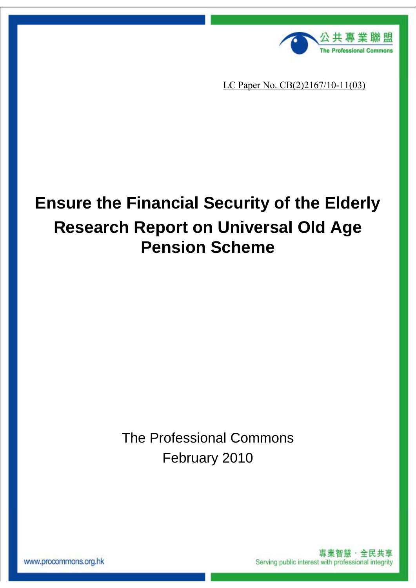

LC Paper No. CB(2)2167/10-11(03)

# **Ensure the Financial Security of the Elderly Research Report on Universal Old Age Pension Scheme**

The Professional Commons February 2010

www.procommons.org.hk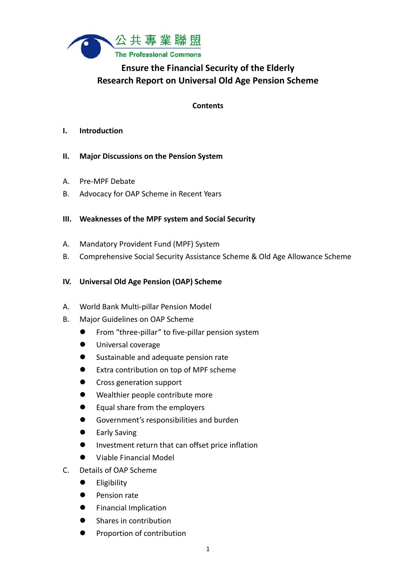

# **Ensure the Financial Security of the Elderly Research Report on Universal Old Age Pension Scheme**

#### **Contents**

#### **I. Introduction**

- **II. Major Discussions on the Pension System**
- A. Pre‐MPF Debate
- B. Advocacy for OAP Scheme in Recent Years

#### **III. Weaknesses of the MPF system and Social Security**

- A. Mandatory Provident Fund (MPF) System
- B. Comprehensive Social Security Assistance Scheme & Old Age Allowance Scheme

#### **IV. Universal Old Age Pension (OAP) Scheme**

- A. World Bank Multi‐pillar Pension Model
- B. Major Guidelines on OAP Scheme
	- From "three-pillar" to five-pillar pension system
	- **Universal coverage**
	- Sustainable and adequate pension rate
	- Extra contribution on top of MPF scheme
	- Cross generation support
	- Wealthier people contribute more
	- Equal share from the employers
	- Government's responsibilities and burden
	- **•** Early Saving
	- **Investment return that can offset price inflation**
	- Viable Financial Model
- C. Details of OAP Scheme
	- **•** Eligibility
	- **•** Pension rate
	- Financial Implication
	- Shares in contribution
	- Proportion of contribution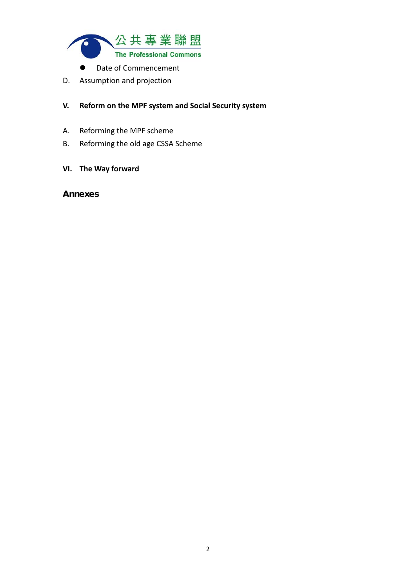

- Date of Commencement
- D. Assumption and projection

#### **V. Reform on the MPF system and Social Security system**

- A. Reforming the MPF scheme
- B. Reforming the old age CSSA Scheme

#### **VI. The Way forward**

#### **Annexes**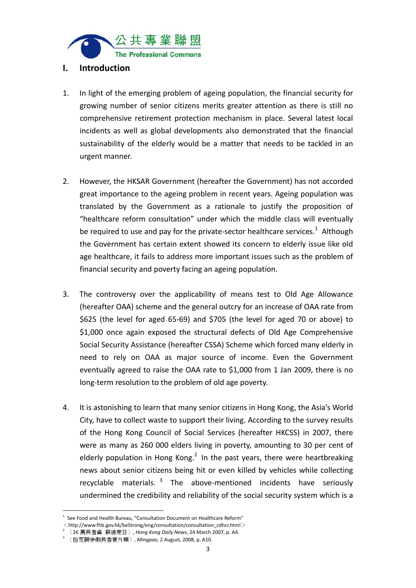

#### **I. Introduction**

- 1. In light of the emerging problem of ageing population, the financial security for growing number of senior citizens merits greater attention as there is still no comprehensive retirement protection mechanism in place. Several latest local incidents as well as global developments also demonstrated that the financial sustainability of the elderly would be a matter that needs to be tackled in an urgent manner.
- 2. However, the HKSAR Government (hereafter the Government) has not accorded great importance to the ageing problem in recent years. Ageing population was translated by the Government as a rationale to justify the proposition of "healthcare reform consultation" under which the middle class will eventually be required to use and pay for the private-sector healthcare services.<sup>1</sup> Although the Government has certain extent showed its concern to elderly issue like old age healthcare, it fails to address more important issues such as the problem of financial security and poverty facing an ageing population.
- 3. The controversy over the applicability of means test to Old Age Allowance (hereafter OAA) scheme and the general outcry for an increase of OAA rate from \$625 (the level for aged 65‐69) and \$705 (the level for aged 70 or above) to \$1,000 once again exposed the structural defects of Old Age Comprehensive Social Security Assistance (hereafter CSSA) Scheme which forced many elderly in need to rely on OAA as major source of income. Even the Government eventually agreed to raise the OAA rate to \$1,000 from 1 Jan 2009, there is no long‐term resolution to the problem of old age poverty.
- 4. It is astonishing to learn that many senior citizens in Hong Kong, the Asia's World City, have to collect waste to support their living. According to the survey results of the Hong Kong Council of Social Services (hereafter HKCSS) in 2007, there were as many as 260 000 elders living in poverty, amounting to 30 per cent of elderly population in Hong Kong.<sup>2</sup> In the past years, there were heartbreaking news about senior citizens being hit or even killed by vehicles while collecting recyclable materials. <sup>3</sup> The above-mentioned incidents have seriously undermined the credibility and reliability of the social security system which is a

 $1$  See Food and Health Bureau, "Consultation Document on Healthcare Reform"

 $\langle h(t) \rangle$  //www.fhb.gov.hk/beStrong/eng/consultation/consultation\_cdhcr.html>

<sup>2</sup> 〈26 萬長者貧 窮線度日〉, *Hong Kong Daily News*, 24 March 2007, p. A4.

<sup>3</sup> 〈拾荒競爭劇長者意外頻〉, *Mingpao*, 2 August, 2008, p. A10.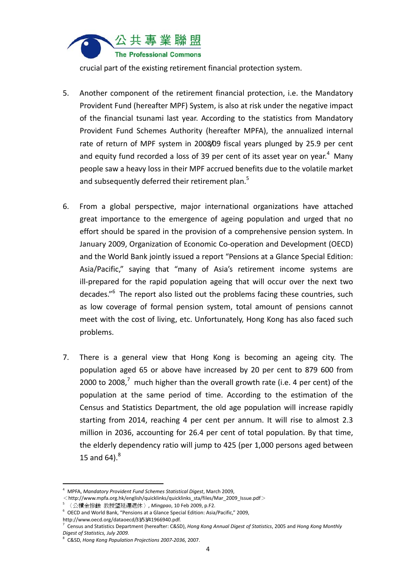

crucial part of the existing retirement financial protection system.

- 5. Another component of the retirement financial protection, i.e. the Mandatory Provident Fund (hereafter MPF) System, is also at risk under the negative impact of the financial tsunami last year. According to the statistics from Mandatory Provident Fund Schemes Authority (hereafter MPFA), the annualized internal rate of return of MPF system in 2008/09 fiscal years plunged by 25.9 per cent and equity fund recorded a loss of 39 per cent of its asset year on year.<sup>4</sup> Many people saw a heavy loss in their MPF accrued benefits due to the volatile market and subsequently deferred their retirement plan.<sup>5</sup>
- 6. From a global perspective, major international organizations have attached great importance to the emergence of ageing population and urged that no effort should be spared in the provision of a comprehensive pension system. In January 2009, Organization of Economic Co-operation and Development (OECD) and the World Bank jointly issued a report "Pensions at a Glance Special Edition: Asia/Pacific," saying that "many of Asia's retirement income systems are ill-prepared for the rapid population ageing that will occur over the next two decades."<sup>6</sup> The report also listed out the problems facing these countries, such as low coverage of formal pension system, total amount of pensions cannot meet with the cost of living, etc. Unfortunately, Hong Kong has also faced such problems.
- 7. There is a general view that Hong Kong is becoming an ageing city. The population aged 65 or above have increased by 20 per cent to 879 600 from 2000 to 2008.<sup>7</sup> much higher than the overall growth rate (i.e. 4 per cent) of the population at the same period of time. According to the estimation of the Census and Statistics Department, the old age population will increase rapidly starting from 2014, reaching 4 per cent per annum. It will rise to almost 2.3 million in 2036, accounting for 26.4 per cent of total population. By that time, the elderly dependency ratio will jump to 425 (per 1,000 persons aged between 15 and 64). $^8$

 <sup>4</sup> MPFA, *Mandatory Provident Fund Schemes Statistical Digest*, March 2009,

 $\langle$ http://www.mpfa.org.hk/english/quicklinks/quicklinks\_sta/files/Mar\_2009\_Issue.pdf>

<sup>5</sup> 〈公積金慘蝕 教授望延遲退休〉, *Mingpao*, 10 Feb 2009, p.F2.

<sup>6</sup> OECD and World Bank, "Pensions at a Glance Special Edition: Asia/Pacific," 2009,

http://www.oecd.org/dataoecd/33/53/41966940.pdf.

<sup>7</sup> Census and Statistics Department (hereafter: C&SD), *Hong Kong Annual Digest of Statistics*, 2005 and *Hong Kong Monthly Digest of Statistics, July 2009.*

<sup>8</sup> C&SD, *Hong Kong Population Projections 2007‐2036*, 2007.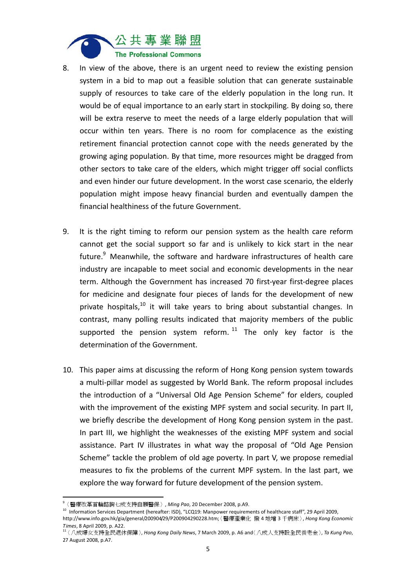

- 8. In view of the above, there is an urgent need to review the existing pension system in a bid to map out a feasible solution that can generate sustainable supply of resources to take care of the elderly population in the long run. It would be of equal importance to an early start in stockpiling. By doing so, there will be extra reserve to meet the needs of a large elderly population that will occur within ten years. There is no room for complacence as the existing retirement financial protection cannot cope with the needs generated by the growing aging population. By that time, more resources might be dragged from other sectors to take care of the elders, which might trigger off social conflicts and even hinder our future development. In the worst case scenario, the elderly population might impose heavy financial burden and eventually dampen the financial healthiness of the future Government.
- 9. It is the right timing to reform our pension system as the health care reform cannot get the social support so far and is unlikely to kick start in the near future.<sup>9</sup> Meanwhile, the software and hardware infrastructures of health care industry are incapable to meet social and economic developments in the near term. Although the Government has increased 70 first-year first-degree places for medicine and designate four pieces of lands for the development of new private hospitals, $^{10}$  it will take years to bring about substantial changes. In contrast, many polling results indicated that majority members of the public supported the pension system reform.  $11$  The only key factor is the determination of the Government.
- 10. This paper aims at discussing the reform of Hong Kong pension system towards a multi‐pillar model as suggested by World Bank. The reform proposal includes the introduction of a "Universal Old Age Pension Scheme" for elders, coupled with the improvement of the existing MPF system and social security. In part II, we briefly describe the development of Hong Kong pension system in the past. In part III, we highlight the weaknesses of the existing MPF system and social assistance. Part IV illustrates in what way the proposal of "Old Age Pension Scheme" tackle the problem of old age poverty. In part V, we propose remedial measures to fix the problems of the current MPF system. In the last part, we explore the way forward for future development of the pension system.

<sup>9</sup> 〈醫療改革首輪諮詢七成支持自願醫保〉, *Ming Pao*, 20 December 2008, p.A9.

<sup>&</sup>lt;sup>10</sup> Information Services Department (hereafter: ISD), "LCQ19: Manpower requirements of healthcare staff", 29 April 2009, http://www.info.gov.hk/gia/general/200904/29/P200904290228.htm;〈醫療產業化 撥 4 地增 3 千病床〉, *Hong Kong Economic Times*, 8 April 2009, p. A22.

<sup>11</sup>〈八成婦女支持全民退休保障〉, *Hong Kong Daily News*, 7 March 2009, p. A6 and〈八成人支持設全民養老金〉, *Ta Kung Pao*, 27 August 2008, p.A7.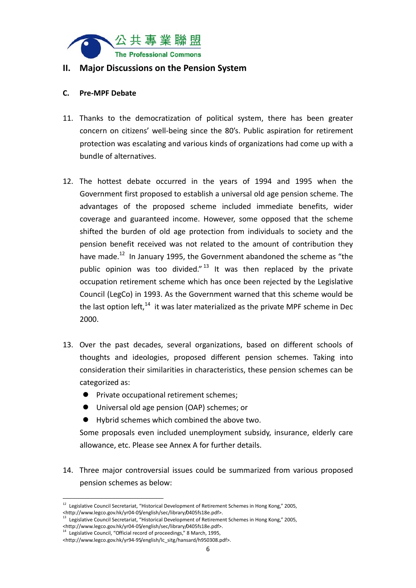

#### **II. Major Discussions on the Pension System**

#### **C. Pre‐MPF Debate**

- 11. Thanks to the democratization of political system, there has been greater concern on citizens' well‐being since the 80's. Public aspiration for retirement protection was escalating and various kinds of organizations had come up with a bundle of alternatives.
- 12. The hottest debate occurred in the years of 1994 and 1995 when the Government first proposed to establish a universal old age pension scheme. The advantages of the proposed scheme included immediate benefits, wider coverage and guaranteed income. However, some opposed that the scheme shifted the burden of old age protection from individuals to society and the pension benefit received was not related to the amount of contribution they have made.<sup>12</sup> In January 1995, the Government abandoned the scheme as "the public opinion was too divided." $13$  It was then replaced by the private occupation retirement scheme which has once been rejected by the Legislative Council (LegCo) in 1993. As the Government warned that this scheme would be the last option left, $14$  it was later materialized as the private MPF scheme in Dec 2000.
- 13. Over the past decades, several organizations, based on different schools of thoughts and ideologies, proposed different pension schemes. Taking into consideration their similarities in characteristics, these pension schemes can be categorized as:
	- **•** Private occupational retirement schemes:
	- Universal old age pension (OAP) schemes; or
	- Hybrid schemes which combined the above two.

Some proposals even included unemployment subsidy, insurance, elderly care allowance, etc. Please see Annex A for further details.

14. Three major controversial issues could be summarized from various proposed pension schemes as below:

 <sup>12</sup> Legislative Council Secretariat, "Historical Development of Retirement Schemes in Hong Kong," 2005, enttp://www.legco.gov.hk/yr04-05/english/sec/library/0405fs18e.pdf>.<br>
<sup>13</sup> Legislative Council Secretariat, "Historical Development of Retirement Schemes in Hong Kong," 2005,

stattp://www.legco.gov.hk/yr04‐05/english/sec/library/0405fs18e.pdf>.

Legislative Council, "Official record of proceedings," 8 March, 1995,

<sup>&</sup>lt;http://www.legco.gov.hk/yr94‐95/english/lc\_sitg/hansard/h950308.pdf>.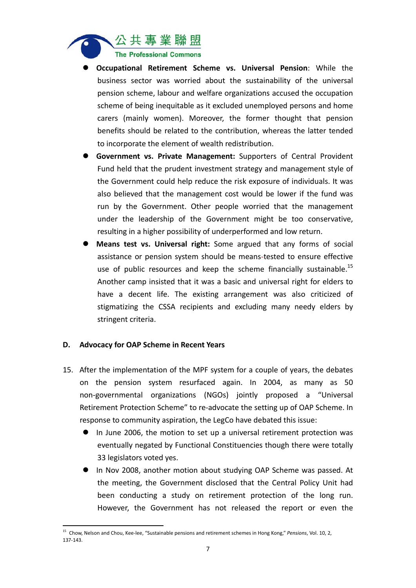

- **Occupational Retirement Scheme vs. Universal Pension**: While the business sector was worried about the sustainability of the universal pension scheme, labour and welfare organizations accused the occupation scheme of being inequitable as it excluded unemployed persons and home carers (mainly women). Moreover, the former thought that pension benefits should be related to the contribution, whereas the latter tended to incorporate the element of wealth redistribution.
- **Government vs. Private Management:** Supporters of Central Provident Fund held that the prudent investment strategy and management style of the Government could help reduce the risk exposure of individuals. It was also believed that the management cost would be lower if the fund was run by the Government. Other people worried that the management under the leadership of the Government might be too conservative, resulting in a higher possibility of underperformed and low return.
- **Means test vs. Universal right:** Some argued that any forms of social assistance or pension system should be means‐tested to ensure effective use of public resources and keep the scheme financially sustainable.<sup>15</sup> Another camp insisted that it was a basic and universal right for elders to have a decent life. The existing arrangement was also criticized of stigmatizing the CSSA recipients and excluding many needy elders by stringent criteria.

#### **D. Advocacy for OAP Scheme in Recent Years**

- 15. After the implementation of the MPF system for a couple of years, the debates on the pension system resurfaced again. In 2004, as many as 50 non‐governmental organizations (NGOs) jointly proposed a "Universal Retirement Protection Scheme" to re‐advocate the setting up of OAP Scheme. In response to community aspiration, the LegCo have debated this issue:
	- In June 2006, the motion to set up a universal retirement protection was eventually negated by Functional Constituencies though there were totally 33 legislators voted yes.
	- In Nov 2008, another motion about studying OAP Scheme was passed. At the meeting, the Government disclosed that the Central Policy Unit had been conducting a study on retirement protection of the long run. However, the Government has not released the report or even the

<sup>15</sup> Chow, Nelson and Chou, Kee‐lee, "Sustainable pensions and retirement schemes in Hong Kong," *Pensions*, Vol. 10, 2, 137‐143.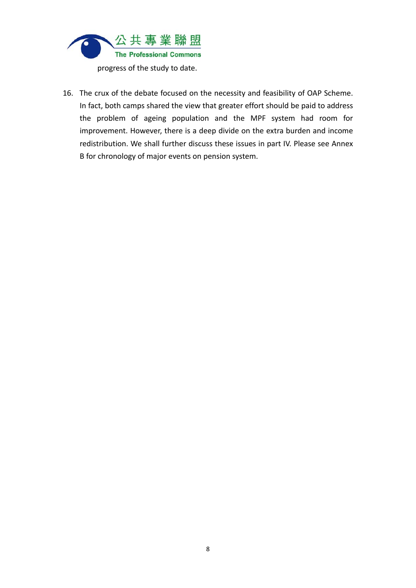

16. The crux of the debate focused on the necessity and feasibility of OAP Scheme. In fact, both camps shared the view that greater effort should be paid to address the problem of ageing population and the MPF system had room for improvement. However, there is a deep divide on the extra burden and income redistribution. We shall further discuss these issues in part IV. Please see Annex B for chronology of major events on pension system.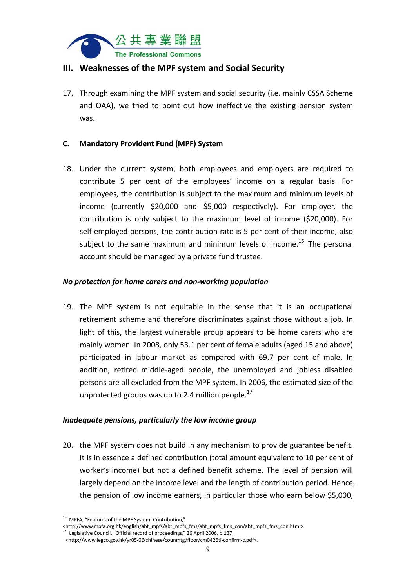

#### **III. Weaknesses of the MPF system and Social Security**

17. Through examining the MPF system and social security (i.e. mainly CSSA Scheme and OAA), we tried to point out how ineffective the existing pension system was.

#### **C. Mandatory Provident Fund (MPF) System**

18. Under the current system, both employees and employers are required to contribute 5 per cent of the employees' income on a regular basis. For employees, the contribution is subject to the maximum and minimum levels of income (currently \$20,000 and \$5,000 respectively). For employer, the contribution is only subject to the maximum level of income (\$20,000). For self-employed persons, the contribution rate is 5 per cent of their income, also subject to the same maximum and minimum levels of income.<sup>16</sup> The personal account should be managed by a private fund trustee.

#### *No protection for home carers and non‐working population*

19. The MPF system is not equitable in the sense that it is an occupational retirement scheme and therefore discriminates against those without a job. In light of this, the largest vulnerable group appears to be home carers who are mainly women. In 2008, only 53.1 per cent of female adults (aged 15 and above) participated in labour market as compared with 69.7 per cent of male. In addition, retired middle‐aged people, the unemployed and jobless disabled persons are all excluded from the MPF system. In 2006, the estimated size of the unprotected groups was up to 2.4 million people. $^{17}$ 

#### *Inadequate pensions, particularly the low income group*

20. the MPF system does not build in any mechanism to provide guarantee benefit. It is in essence a defined contribution (total amount equivalent to 10 per cent of worker's income) but not a defined benefit scheme. The level of pension will largely depend on the income level and the length of contribution period. Hence, the pension of low income earners, in particular those who earn below \$5,000,

 <sup>16</sup> MPFA, "Features of the MPF System: Contribution,"

<sup>&</sup>lt;http://www.mpfa.org.hk/english/abt\_mpfs/abt\_mpfs\_fms/abt\_mpfs\_fms\_con/abt\_mpfs\_fms\_con.html>. <sup>17</sup> Legislative Council, "Official record of proceedings," 26 April 2006, p.137,

<sup>&</sup>lt;http://www.legco.gov.hk/yr05‐06/chinese/counmtg/floor/cm0426ti‐confirm‐c.pdf>.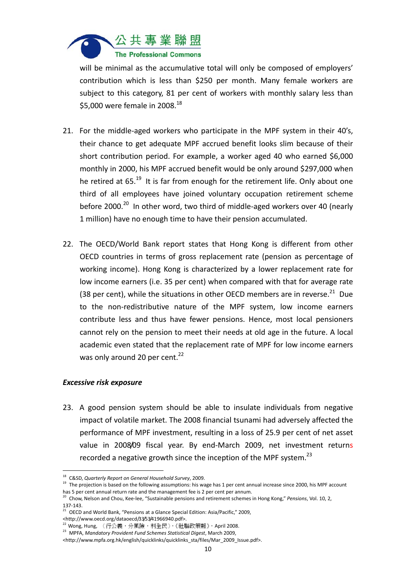

will be minimal as the accumulative total will only be composed of employers' contribution which is less than \$250 per month. Many female workers are subject to this category, 81 per cent of workers with monthly salary less than \$5,000 were female in 2008.<sup>18</sup>

- 21. For the middle-aged workers who participate in the MPF system in their 40's. their chance to get adequate MPF accrued benefit looks slim because of their short contribution period. For example, a worker aged 40 who earned \$6,000 monthly in 2000, his MPF accrued benefit would be only around \$297,000 when he retired at 65.<sup>19</sup> It is far from enough for the retirement life. Only about one third of all employees have joined voluntary occupation retirement scheme before 2000.<sup>20</sup> In other word, two third of middle-aged workers over 40 (nearly 1 million) have no enough time to have their pension accumulated.
- 22. The OECD/World Bank report states that Hong Kong is different from other OECD countries in terms of gross replacement rate (pension as percentage of working income). Hong Kong is characterized by a lower replacement rate for low income earners (i.e. 35 per cent) when compared with that for average rate (38 per cent), while the situations in other OECD members are in reverse. $^{21}$  Due to the non‐redistributive nature of the MPF system, low income earners contribute less and thus have fewer pensions. Hence, most local pensioners cannot rely on the pension to meet their needs at old age in the future. A local academic even stated that the replacement rate of MPF for low income earners was only around 20 per cent. $^{22}$

#### *Excessive risk exposure*

23. A good pension system should be able to insulate individuals from negative impact of volatile market. The 2008 financial tsunami had adversely affected the performance of MPF investment, resulting in a loss of 25.9 per cent of net asset value in 2008/09 fiscal year. By end‐March 2009, net investment returns recorded a negative growth since the inception of the MPF system.<sup>23</sup>

<sup>18</sup> C&SD, *Quarterly Report on General Household Survey*, 2009.

<sup>&</sup>lt;sup>19</sup> The projection is based on the following assumptions: his wage has 1 per cent annual increase since 2000, his MPF account has 5 per cent annual return rate and the management fee is 2 per cent per annum.

<sup>20</sup> Chow, Nelson and Chou, Kee‐lee, "Sustainable pensions and retirement schemes in Hong Kong," *Pensions*, Vol. 10, 2, 137‐143.

<sup>&</sup>lt;sup>21</sup> OECD and World Bank, "Pensions at a Glance Special Edition: Asia/Pacific," 2009,

<sup>&</sup>lt;http://www.oecd.org/dataoecd/33/53/41966940.pdf>.

 $22$  Wong, Hung, 〈行公義,分風險,利全民〉,《社聯政策報》, April 2008.

<sup>23</sup> MPFA, *Mandatory Provident Fund Schemes Statistical Digest*, March 2009,

<sup>&</sup>lt;http://www.mpfa.org.hk/english/quicklinks/quicklinks\_sta/files/Mar\_2009\_Issue.pdf>.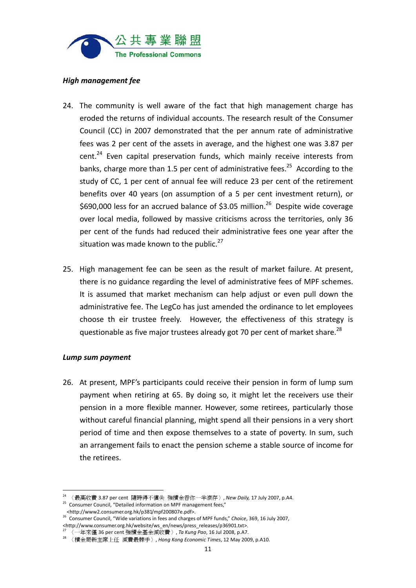

#### *High management fee*

- 24. The community is well aware of the fact that high management charge has eroded the returns of individual accounts. The research result of the Consumer Council (CC) in 2007 demonstrated that the per annum rate of administrative fees was 2 per cent of the assets in average, and the highest one was 3.87 per  $cent.^{24}$  Even capital preservation funds, which mainly receive interests from banks, charge more than 1.5 per cent of administrative fees.<sup>25</sup> According to the study of CC, 1 per cent of annual fee will reduce 23 per cent of the retirement benefits over 40 years (on assumption of a 5 per cent investment return), or \$690,000 less for an accrued balance of \$3.05 million.<sup>26</sup> Despite wide coverage over local media, followed by massive criticisms across the territories, only 36 per cent of the funds had reduced their administrative fees one year after the situation was made known to the public. $27$
- 25. High management fee can be seen as the result of market failure. At present, there is no guidance regarding the level of administrative fees of MPF schemes. It is assumed that market mechanism can help adjust or even pull down the administrative fee. The LegCo has just amended the ordinance to let employees choose th eir trustee freely. However, the effectiveness of this strategy is questionable as five major trustees already got 70 per cent of market share.<sup>28</sup>

#### *Lump sum payment*

26. At present, MPF's participants could receive their pension in form of lump sum payment when retiring at 65. By doing so, it might let the receivers use their pension in a more flexible manner. However, some retirees, particularly those without careful financial planning, might spend all their pensions in a very short period of time and then expose themselves to a state of poverty. In sum, such an arrangement fails to enact the pension scheme a stable source of income for the retirees.

<sup>24</sup> 〈最高收費 3.87 per cent 隨時得不償失 強積金吞你一半滾存〉, *New Daily,* 17 July 2007, p.A4.

<sup>25</sup> Consumer Council, "Detailed information on MPF management fees," <http://www2.consumer.org.hk/p381/mpf200807e.pdf>.

<sup>26</sup> Consumer Council, "Wide variations in fees and charges of MPF funds," *Choice*, 369, 16 July 2007, <http://www.consumer.org.hk/website/ws\_en/news/press\_releases/p36901.txt>.

<sup>27</sup> 〈一年來僅 36 per cent 強積金基金減收費〉, *Ta Kung Pao*, 16 Jul 2008, p.A7.

<sup>28</sup> 〈積金局新主席上任 減費最棘手〉, *Hong Kong Economic Times*, 12 May 2009, p.A10.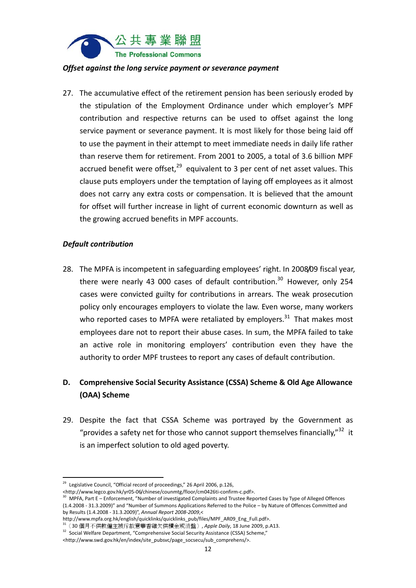

#### *Offset against the long service payment or severance payment*

27. The accumulative effect of the retirement pension has been seriously eroded by the stipulation of the Employment Ordinance under which employer's MPF contribution and respective returns can be used to offset against the long service payment or severance payment. It is most likely for those being laid off to use the payment in their attempt to meet immediate needs in daily life rather than reserve them for retirement. From 2001 to 2005, a total of 3.6 billion MPF accrued benefit were offset.<sup>29</sup> equivalent to 3 per cent of net asset values. This clause puts employers under the temptation of laying off employees as it almost does not carry any extra costs or compensation. It is believed that the amount for offset will further increase in light of current economic downturn as well as the growing accrued benefits in MPF accounts.

#### *Default contribution*

28. The MPFA is incompetent in safeguarding employees' right. In 2008/09 fiscal year, there were nearly 43 000 cases of default contribution.<sup>30</sup> However, only 254 cases were convicted guilty for contributions in arrears. The weak prosecution policy only encourages employers to violate the law. Even worse, many workers who reported cases to MPFA were retaliated by employers. $31$  That makes most employees dare not to report their abuse cases. In sum, the MPFA failed to take an active role in monitoring employers' contribution even they have the authority to order MPF trustees to report any cases of default contribution.

### **D. Comprehensive Social Security Assistance (CSSA) Scheme & Old Age Allowance (OAA) Scheme**

29. Despite the fact that CSSA Scheme was portrayed by the Government as "provides a safety net for those who cannot support themselves financially."<sup>32</sup> it is an imperfect solution to old aged poverty.

 <sup>29</sup> Legislative Council, "Official record of proceedings," 26 April 2006, p.126,

<sup>&</sup>lt;http://www.legco.gov.hk/yr05‐06/chinese/counmtg/floor/cm0426ti‐confirm‐c.pdf>.

<sup>30</sup> MPFA, Part E – Enforcement, "Number of investigated Complaints and Trustee Reported Cases by Type of Alleged Offences (1.4.2008 ‐ 31.3.2009)" and "Number of Summons Applications Referred to the Police – by Nature of Offences Committed and by Results (1.4.2008 ‐ 31.3.2009)", *Annual Report 2008‐2009*,<

http://www.mpfa.org.hk/english/quicklinks/quicklinks\_pub/files/MPF\_AR09\_Eng\_Full.pdf>.

<sup>31</sup>〈30 個月不供款僱主被斥故意華香雞欠供積金或清盤〉, *Apple Daily*, 18 June 2009, p.A13.

<sup>32</sup> Social Welfare Department, "Comprehensive Social Security Assistance (CSSA) Scheme,"

<sup>&</sup>lt;http://www.swd.gov.hk/en/index/site\_pubsvc/page\_socsecu/sub\_comprehens/>.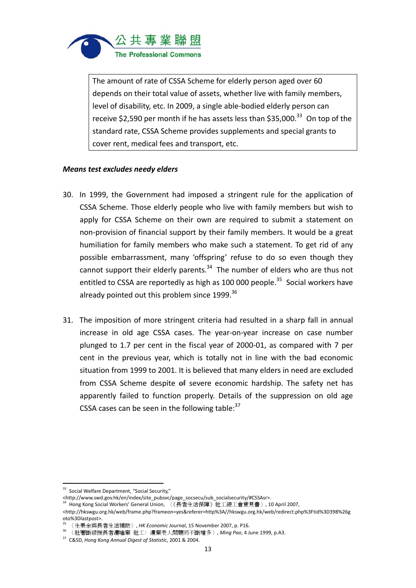

The amount of rate of CSSA Scheme for elderly person aged over 60 depends on their total value of assets, whether live with family members, level of disability, etc. In 2009, a single able‐bodied elderly person can receive \$2,590 per month if he has assets less than \$35,000.<sup>33</sup> On top of the standard rate, CSSA Scheme provides supplements and special grants to cover rent, medical fees and transport, etc.

#### *Means test excludes needy elders*

- 30. In 1999, the Government had imposed a stringent rule for the application of CSSA Scheme. Those elderly people who live with family members but wish to apply for CSSA Scheme on their own are required to submit a statement on non‐provision of financial support by their family members. It would be a great humiliation for family members who make such a statement. To get rid of any possible embarrassment, many 'offspring' refuse to do so even though they cannot support their elderly parents. $34$  The number of elders who are thus not entitled to CSSA are reportedly as high as 100 000 people.<sup>35</sup> Social workers have already pointed out this problem since 1999.<sup>36</sup>
- 31. The imposition of more stringent criteria had resulted in a sharp fall in annual increase in old age CSSA cases. The year-on-year increase on case number plunged to 1.7 per cent in the fiscal year of 2000‐01, as compared with 7 per cent in the previous year, which is totally not in line with the bad economic situation from 1999 to 2001. It is believed that many elders in need are excluded from CSSA Scheme despite of severe economic hardship. The safety net has apparently failed to function properly. Details of the suppression on old age CSSA cases can be seen in the following table: $37$

 <sup>33</sup> Social Welfare Department, "Social Security,"

<sup>&</sup>lt;http://www.swd.gov.hk/en/index/site\_pubsvc/page\_socsecu/sub\_socialsecurity/#CSSAsr>.

<sup>34</sup> Hong Kong Social Workers' General Union, 〈《長者生活保障》社工總工會意見書〉, 10 April 2007,

<sup>&</sup>lt;http://hkswgu.org.hk/web/frame.php?frameon=yes&referer=http%3A//hkswgu.org.hk/web/redirect.php%3Ftid%3D398%26g oto%3Dlastpost>.

<sup>35</sup> 〈生果金與長者生活補助〉, *HK Economic Journal*, 15 November 2007, p. P16.

<sup>36</sup> 〈社署斷綜援長者遭唾棄 社工﹕遺棄老人問題將不斷增多〉, *Ming Pao*, 4 June 1999, p.A3.

<sup>37</sup> C&SD, *Hong Kong Annual Digest of Statistic*, 2001 & 2004.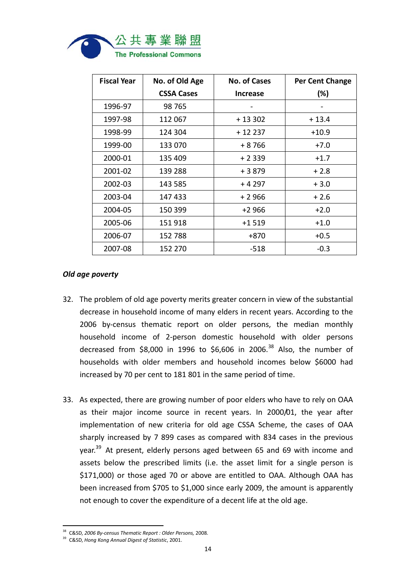

| <b>Fiscal Year</b> | No. of Old Age    | <b>No. of Cases</b> | Per Cent Change |
|--------------------|-------------------|---------------------|-----------------|
|                    | <b>CSSA Cases</b> | <b>Increase</b>     | (%)             |
| 1996-97            | 98 765            |                     |                 |
| 1997-98            | 112 067           | $+13302$            | $+13.4$         |
| 1998-99            | 124 304           | $+12237$            | $+10.9$         |
| 1999-00            | 133 070           | + 8 766             | $+7.0$          |
| 2000-01            | 135 409           | $+2339$             | $+1.7$          |
| 2001-02            | 139 288           | $+3879$             | $+2.8$          |
| 2002-03            | 143 585           | + 4 297             | $+3.0$          |
| 2003-04            | 147433            | + 2 966             | $+2.6$          |
| 2004-05            | 150 399           | $+2966$             | $+2.0$          |
| 2005-06            | 151 918           | $+1519$             | $+1.0$          |
| 2006-07            | 152 788           | +870                | $+0.5$          |
| 2007-08            | 152 270           | $-518$              | $-0.3$          |

#### *Old age poverty*

- 32. The problem of old age poverty merits greater concern in view of the substantial decrease in household income of many elders in recent years. According to the 2006 by-census thematic report on older persons, the median monthly household income of 2‐person domestic household with older persons decreased from \$8,000 in 1996 to \$6,606 in 2006.<sup>38</sup> Also, the number of households with older members and household incomes below \$6000 had increased by 70 per cent to 181 801 in the same period of time.
- 33. As expected, there are growing number of poor elders who have to rely on OAA as their major income source in recent years. In 2000/01, the year after implementation of new criteria for old age CSSA Scheme, the cases of OAA sharply increased by 7 899 cases as compared with 834 cases in the previous year.<sup>39</sup> At present, elderly persons aged between 65 and 69 with income and assets below the prescribed limits (i.e. the asset limit for a single person is \$171,000) or those aged 70 or above are entitled to OAA. Although OAA has been increased from \$705 to \$1,000 since early 2009, the amount is apparently not enough to cover the expenditure of a decent life at the old age.

<sup>38</sup> C&SD, *2006 By‐census Thematic Report : Older Persons,* 2008.

<sup>39</sup> C&SD, *Hong Kong Annual Digest of Statistic*, 2001.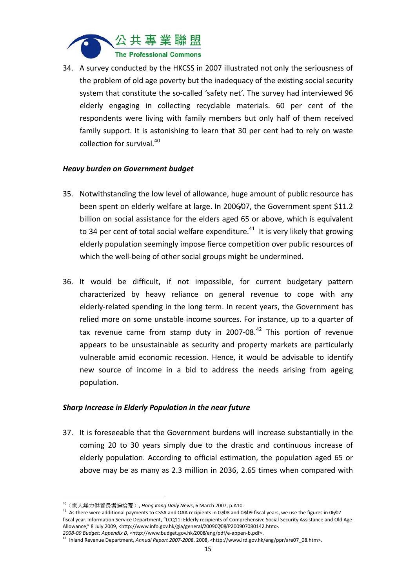

34. A survey conducted by the HKCSS in 2007 illustrated not only the seriousness of the problem of old age poverty but the inadequacy of the existing social security system that constitute the so-called 'safety net'. The survey had interviewed 96 elderly engaging in collecting recyclable materials. 60 per cent of the respondents were living with family members but only half of them received family support. It is astonishing to learn that 30 per cent had to rely on waste collection for survival.<sup>40</sup>

#### *Heavy burden on Government budget*

- 35. Notwithstanding the low level of allowance, huge amount of public resource has been spent on elderly welfare at large. In 2006/07, the Government spent \$11.2 billion on social assistance for the elders aged 65 or above, which is equivalent to 34 per cent of total social welfare expenditure.<sup>41</sup> It is very likely that growing elderly population seemingly impose fierce competition over public resources of which the well-being of other social groups might be undermined.
- 36. It would be difficult, if not impossible, for current budgetary pattern characterized by heavy reliance on general revenue to cope with any elderly-related spending in the long term. In recent years, the Government has relied more on some unstable income sources. For instance, up to a quarter of tax revenue came from stamp duty in 2007-08. $42$  This portion of revenue appears to be unsustainable as security and property markets are particularly vulnerable amid economic recession. Hence, it would be advisable to identify new source of income in a bid to address the needs arising from ageing population.

#### *Sharp Increase in Elderly Population in the near future*

37. It is foreseeable that the Government burdens will increase substantially in the coming 20 to 30 years simply due to the drastic and continuous increase of elderly population. According to official estimation, the population aged 65 or above may be as many as 2.3 million in 2036, 2.65 times when compared with

 <sup>40</sup>〈家人無力供養長者迫拾荒〉, *Hong Kong Daily News*, 6 March 2007, p.A10.

<sup>41</sup> As there were additional payments to CSSA and OAA recipients in 07/08 and 08/09 fiscal years, we use the figures in 06/07 fiscal year. Information Service Department, "LCQ11: Elderly recipients of Comprehensive Social Security Assistance and Old Age Allowance," 8 July 2009, <http://www.info.gov.hk/gia/general/200907/08/P200907080142.htm>. *2008‐09 Budget: Appendix B*, <http://www.budget.gov.hk/2008/eng/pdf/e‐appen‐b.pdf>.

<sup>42</sup> Inland Revenue Department, *Annual Report 2007‐2008*, 2008, <http://www.ird.gov.hk/eng/ppr/are07\_08.htm>.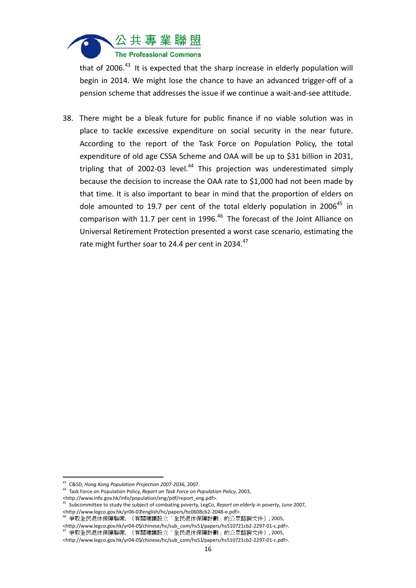

that of 2006. $43$  It is expected that the sharp increase in elderly population will begin in 2014. We might lose the chance to have an advanced trigger‐off of a pension scheme that addresses the issue if we continue a wait‐and‐see attitude.

38. There might be a bleak future for public finance if no viable solution was in place to tackle excessive expenditure on social security in the near future. According to the report of the Task Force on Population Policy, the total expenditure of old age CSSA Scheme and OAA will be up to \$31 billion in 2031, tripling that of 2002-03 level. $44$  This projection was underestimated simply because the decision to increase the OAA rate to \$1,000 had not been made by that time. It is also important to bear in mind that the proportion of elders on dole amounted to 19.7 per cent of the total elderly population in 2006<sup>45</sup> in comparison with 11.7 per cent in 1996.<sup>46</sup> The forecast of the Joint Alliance on Universal Retirement Protection presented a worst case scenario, estimating the rate might further soar to 24.4 per cent in 2034.<sup>47</sup>

 <sup>43</sup> C&SD, *Hong Kong Population Projection 2007‐2036*, 2007.

<sup>44</sup> Task Force on Population Policy, *Report on Task Force on Population Policy*, 2003, <http://www.info.gov.hk/info/population/eng/pdf/report\_eng.pdf>.

<sup>45</sup> Subcommittee to study the subject of combating poverty, LegCo, *Report on elderly in poverty*, June 2007, <http://www.legco.gov.hk/yr06‐07/english/hc/papers/hc0608cb2‐2048‐e.pdf>.

<sup>。&</sup>lt;br>争取全民退休保障聯席, 《有關建議設立「全民退休保障計劃」的公眾諮詢文件》, 2005, <http://www.legco.gov.hk/yr04‐05/chinese/hc/sub\_com/hs51/papers/hs510721cb2‐2297‐01‐c.pdf>.

<sup>47</sup> 爭取全民退休保障聯席, 《有關建議設立「全民退休保障計劃」的公眾諮詢文件》, 2005,

<sup>&</sup>lt;http://www.legco.gov.hk/yr04‐05/chinese/hc/sub\_com/hs51/papers/hs510721cb2‐2297‐01‐c.pdf>.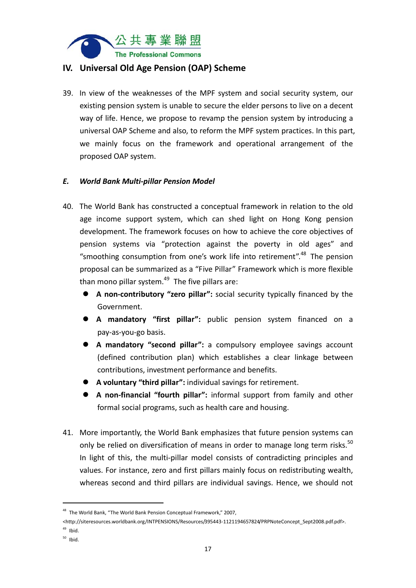

#### **IV. Universal Old Age Pension (OAP) Scheme**

39. In view of the weaknesses of the MPF system and social security system, our existing pension system is unable to secure the elder persons to live on a decent way of life. Hence, we propose to revamp the pension system by introducing a universal OAP Scheme and also, to reform the MPF system practices. In this part, we mainly focus on the framework and operational arrangement of the proposed OAP system.

#### *E. World Bank Multi‐pillar Pension Model*

- 40. The World Bank has constructed a conceptual framework in relation to the old age income support system, which can shed light on Hong Kong pension development. The framework focuses on how to achieve the core objectives of pension systems via "protection against the poverty in old ages" and "smoothing consumption from one's work life into retirement".48 The pension proposal can be summarized as a "Five Pillar" Framework which is more flexible than mono pillar system. $49$  The five pillars are:
	- **A non‐contributory "zero pillar":** social security typically financed by the Government.
	- **A mandatory "first pillar":** public pension system financed on a pay‐as‐you‐go basis.
	- **A mandatory "second pillar":** a compulsory employee savings account (defined contribution plan) which establishes a clear linkage between contributions, investment performance and benefits.
	- **A voluntary "third pillar":** individual savings for retirement.
	- **A non‐financial "fourth pillar":** informal support from family and other formal social programs, such as health care and housing.
- 41. More importantly, the World Bank emphasizes that future pension systems can only be relied on diversification of means in order to manage long term risks.<sup>50</sup> In light of this, the multi-pillar model consists of contradicting principles and values. For instance, zero and first pillars mainly focus on redistributing wealth, whereas second and third pillars are individual savings. Hence, we should not

<sup>48</sup> The World Bank, "The World Bank Pension Conceptual Framework," 2007,

<sup>&</sup>lt;http://siteresources.worldbank.org/INTPENSIONS/Resources/395443-1121194657824/PRPNoteConcept\_Sept2008.pdf.pdf>.

 $49$  Ibid.

 $50$  Ibid.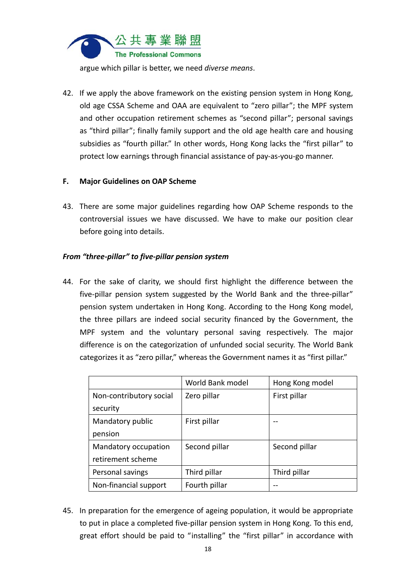

argue which pillar is better, we need *diverse means*.

42. If we apply the above framework on the existing pension system in Hong Kong, old age CSSA Scheme and OAA are equivalent to "zero pillar"; the MPF system and other occupation retirement schemes as "second pillar"; personal savings as "third pillar"; finally family support and the old age health care and housing subsidies as "fourth pillar." In other words, Hong Kong lacks the "first pillar" to protect low earnings through financial assistance of pay‐as‐you‐go manner.

#### **F. Major Guidelines on OAP Scheme**

43. There are some major guidelines regarding how OAP Scheme responds to the controversial issues we have discussed. We have to make our position clear before going into details.

#### *From "three‐pillar" to five‐pillar pension system*

44. For the sake of clarity, we should first highlight the difference between the five-pillar pension system suggested by the World Bank and the three-pillar" pension system undertaken in Hong Kong. According to the Hong Kong model, the three pillars are indeed social security financed by the Government, the MPF system and the voluntary personal saving respectively. The major difference is on the categorization of unfunded social security. The World Bank categorizes it as "zero pillar," whereas the Government names it as "first pillar."

|                         | World Bank model | Hong Kong model |
|-------------------------|------------------|-----------------|
| Non-contributory social | Zero pillar      | First pillar    |
| security                |                  |                 |
| Mandatory public        | First pillar     |                 |
| pension                 |                  |                 |
| Mandatory occupation    | Second pillar    | Second pillar   |
| retirement scheme       |                  |                 |
| Personal savings        | Third pillar     | Third pillar    |
| Non-financial support   | Fourth pillar    |                 |

45. In preparation for the emergence of ageing population, it would be appropriate to put in place a completed five‐pillar pension system in Hong Kong. To this end, great effort should be paid to "installing" the "first pillar" in accordance with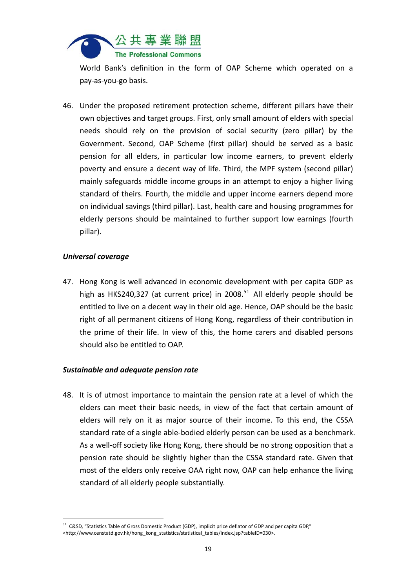

World Bank's definition in the form of OAP Scheme which operated on a pay‐as‐you‐go basis.

46. Under the proposed retirement protection scheme, different pillars have their own objectives and target groups. First, only small amount of elders with special needs should rely on the provision of social security (zero pillar) by the Government. Second, OAP Scheme (first pillar) should be served as a basic pension for all elders, in particular low income earners, to prevent elderly poverty and ensure a decent way of life. Third, the MPF system (second pillar) mainly safeguards middle income groups in an attempt to enjoy a higher living standard of theirs. Fourth, the middle and upper income earners depend more on individual savings (third pillar). Last, health care and housing programmes for elderly persons should be maintained to further support low earnings (fourth pillar).

#### *Universal coverage*

47. Hong Kong is well advanced in economic development with per capita GDP as high as HKS240,327 (at current price) in 2008.<sup>51</sup> All elderly people should be entitled to live on a decent way in their old age. Hence, OAP should be the basic right of all permanent citizens of Hong Kong, regardless of their contribution in the prime of their life. In view of this, the home carers and disabled persons should also be entitled to OAP.

#### *Sustainable and adequate pension rate*

48. It is of utmost importance to maintain the pension rate at a level of which the elders can meet their basic needs, in view of the fact that certain amount of elders will rely on it as major source of their income. To this end, the CSSA standard rate of a single able‐bodied elderly person can be used as a benchmark. As a well‐off society like Hong Kong, there should be no strong opposition that a pension rate should be slightly higher than the CSSA standard rate. Given that most of the elders only receive OAA right now, OAP can help enhance the living standard of all elderly people substantially.

 <sup>51</sup> C&SD, "Statistics Table of Gross Domestic Product (GDP), implicit price deflator of GDP and per capita GDP," <http://www.censtatd.gov.hk/hong\_kong\_statistics/statistical\_tables/index.jsp?tableID=030>.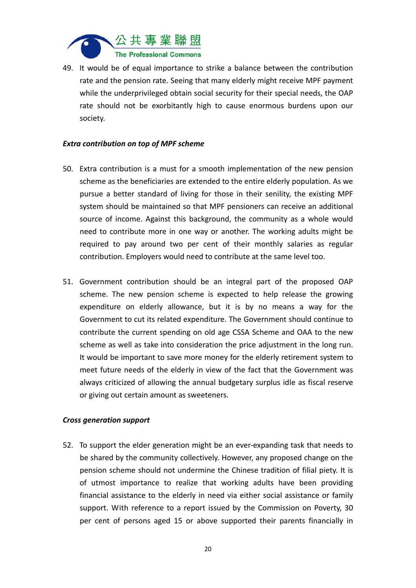

49. It would be of equal importance to strike a balance between the contribution rate and the pension rate. Seeing that many elderly might receive MPF payment while the underprivileged obtain social security for their special needs, the OAP rate should not be exorbitantly high to cause enormous burdens upon our society.

#### *Extra contribution on top of MPF scheme*

- 50. Extra contribution is a must for a smooth implementation of the new pension scheme as the beneficiaries are extended to the entire elderly population. As we pursue a better standard of living for those in their senility, the existing MPF system should be maintained so that MPF pensioners can receive an additional source of income. Against this background, the community as a whole would need to contribute more in one way or another. The working adults might be required to pay around two per cent of their monthly salaries as regular contribution. Employers would need to contribute at the same level too.
- 51. Government contribution should be an integral part of the proposed OAP scheme. The new pension scheme is expected to help release the growing expenditure on elderly allowance, but it is by no means a way for the Government to cut its related expenditure. The Government should continue to contribute the current spending on old age CSSA Scheme and OAA to the new scheme as well as take into consideration the price adjustment in the long run. It would be important to save more money for the elderly retirement system to meet future needs of the elderly in view of the fact that the Government was always criticized of allowing the annual budgetary surplus idle as fiscal reserve or giving out certain amount as sweeteners.

#### *Cross generation support*

52. To support the elder generation might be an ever-expanding task that needs to be shared by the community collectively. However, any proposed change on the pension scheme should not undermine the Chinese tradition of filial piety. It is of utmost importance to realize that working adults have been providing financial assistance to the elderly in need via either social assistance or family support. With reference to a report issued by the Commission on Poverty, 30 per cent of persons aged 15 or above supported their parents financially in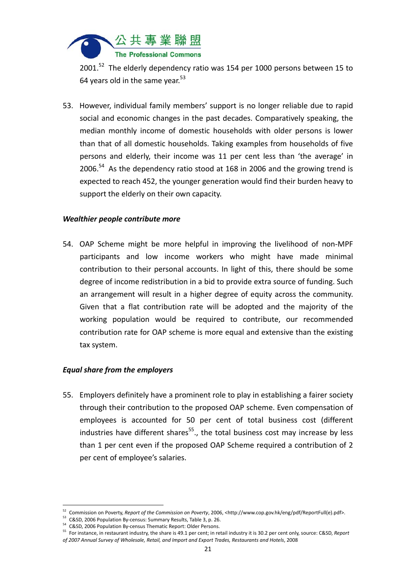

2001.<sup>52</sup> The elderly dependency ratio was 154 per 1000 persons between 15 to 64 years old in the same vear. $53$ 

53. However, individual family members' support is no longer reliable due to rapid social and economic changes in the past decades. Comparatively speaking, the median monthly income of domestic households with older persons is lower than that of all domestic households. Taking examples from households of five persons and elderly, their income was 11 per cent less than 'the average' in 2006.<sup>54</sup> As the dependency ratio stood at 168 in 2006 and the growing trend is expected to reach 452, the younger generation would find their burden heavy to support the elderly on their own capacity.

#### *Wealthier people contribute more*

54. OAP Scheme might be more helpful in improving the livelihood of non‐MPF participants and low income workers who might have made minimal contribution to their personal accounts. In light of this, there should be some degree of income redistribution in a bid to provide extra source of funding. Such an arrangement will result in a higher degree of equity across the community. Given that a flat contribution rate will be adopted and the majority of the working population would be required to contribute, our recommended contribution rate for OAP scheme is more equal and extensive than the existing tax system.

#### *Equal share from the employers*

55. Employers definitely have a prominent role to play in establishing a fairer society through their contribution to the proposed OAP scheme. Even compensation of employees is accounted for 50 per cent of total business cost (different industries have different shares<sup>55</sup>., the total business cost may increase by less than 1 per cent even if the proposed OAP Scheme required a contribution of 2 per cent of employee's salaries.

<sup>&</sup>lt;sup>52</sup> Commission on Poverty, *Report of the Commission on Poverty,* 2006, <http://www.cop.gov.hk/eng/pdf/ReportFull(e).pdf>.<br><sup>53</sup> C&SD, 2006 Population By-census: Summary Results, Table 3, p. 26.

<sup>53</sup> C&SD, 2006 Population By-census: Summary Results, Table 3, p. 26.<br>54 C&SD, 2006 Population By-census Thematic Report: Older Persons.

<sup>55</sup> For instance, in restaurant industry, the share is 49.1 per cent; in retail industry it is 30.2 per cent only, source: C&SD, *Report of 2007 Annual Survey of Wholesale, Retail, and Import and Export Trades, Restaurants and Hotels*, 2008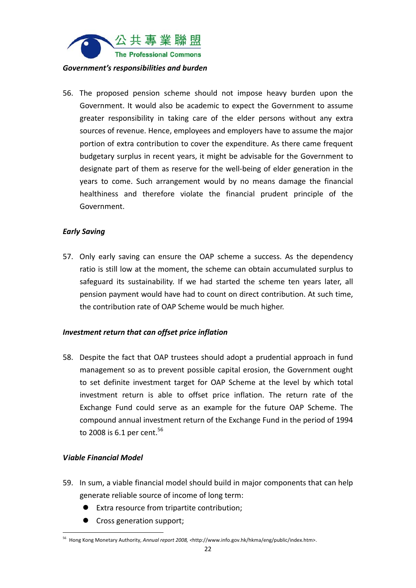

#### *Government's responsibilities and burden*

56. The proposed pension scheme should not impose heavy burden upon the Government. It would also be academic to expect the Government to assume greater responsibility in taking care of the elder persons without any extra sources of revenue. Hence, employees and employers have to assume the major portion of extra contribution to cover the expenditure. As there came frequent budgetary surplus in recent years, it might be advisable for the Government to designate part of them as reserve for the well‐being of elder generation in the years to come. Such arrangement would by no means damage the financial healthiness and therefore violate the financial prudent principle of the Government.

#### *Early Saving*

57. Only early saving can ensure the OAP scheme a success. As the dependency ratio is still low at the moment, the scheme can obtain accumulated surplus to safeguard its sustainability. If we had started the scheme ten years later, all pension payment would have had to count on direct contribution. At such time, the contribution rate of OAP Scheme would be much higher.

#### *Investment return that can offset price inflation*

58. Despite the fact that OAP trustees should adopt a prudential approach in fund management so as to prevent possible capital erosion, the Government ought to set definite investment target for OAP Scheme at the level by which total investment return is able to offset price inflation. The return rate of the Exchange Fund could serve as an example for the future OAP Scheme. The compound annual investment return of the Exchange Fund in the period of 1994 to 2008 is 6.1 per cent.<sup>56</sup>

#### *Viable Financial Model*

- 59. In sum, a viable financial model should build in major components that can help generate reliable source of income of long term:
	- Extra resource from tripartite contribution;
	- Cross generation support;

 <sup>56</sup> Hong Kong Monetary Authority, *Annual report 2008, <*http://www.info.gov.hk/hkma/eng/public/index.htm>.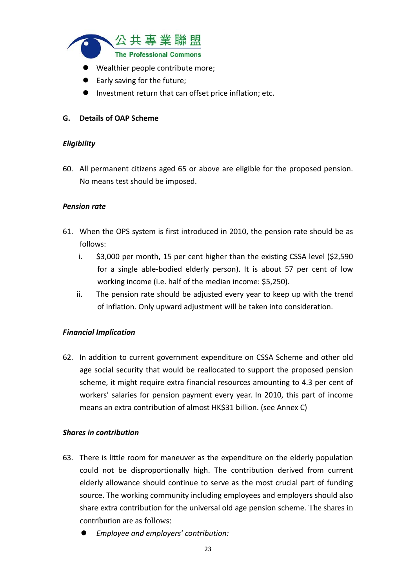

- Wealthier people contribute more;
- Early saving for the future;
- Investment return that can offset price inflation; etc.

#### **G. Details of OAP Scheme**

#### *Eligibility*

60. All permanent citizens aged 65 or above are eligible for the proposed pension. No means test should be imposed.

#### *Pension rate*

- 61. When the OPS system is first introduced in 2010, the pension rate should be as follows:
	- i. \$3,000 per month, 15 per cent higher than the existing CSSA level (\$2,590 for a single able‐bodied elderly person). It is about 57 per cent of low working income (i.e. half of the median income: \$5,250).
	- ii. The pension rate should be adjusted every year to keep up with the trend of inflation. Only upward adjustment will be taken into consideration.

#### *Financial Implication*

62. In addition to current government expenditure on CSSA Scheme and other old age social security that would be reallocated to support the proposed pension scheme, it might require extra financial resources amounting to 4.3 per cent of workers' salaries for pension payment every year. In 2010, this part of income means an extra contribution of almost HK\$31 billion. (see Annex C)

#### *Shares in contribution*

- 63. There is little room for maneuver as the expenditure on the elderly population could not be disproportionally high. The contribution derived from current elderly allowance should continue to serve as the most crucial part of funding source. The working community including employees and employers should also share extra contribution for the universal old age pension scheme. The shares in contribution are as follows:
	- *Employee and employers' contribution:*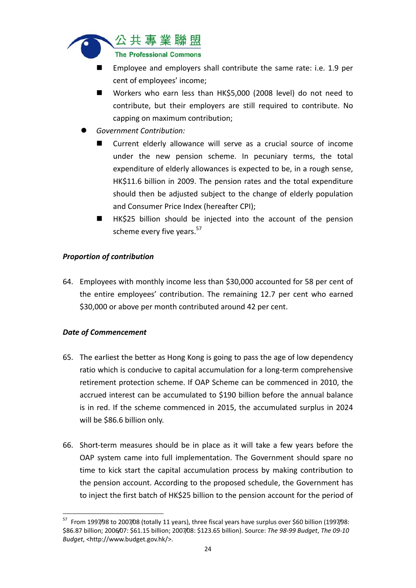

- Employee and employers shall contribute the same rate: i.e. 1.9 per cent of employees' income;
- Workers who earn less than HK\$5,000 (2008 level) do not need to contribute, but their employers are still required to contribute. No capping on maximum contribution;
- *Government Contribution:*
	- Current elderly allowance will serve as a crucial source of income under the new pension scheme. In pecuniary terms, the total expenditure of elderly allowances is expected to be, in a rough sense, HK\$11.6 billion in 2009. The pension rates and the total expenditure should then be adjusted subject to the change of elderly population and Consumer Price Index (hereafter CPI);
	- HK\$25 billion should be injected into the account of the pension scheme every five years.<sup>57</sup>

#### *Proportion of contribution*

64. Employees with monthly income less than \$30,000 accounted for 58 per cent of the entire employees' contribution. The remaining 12.7 per cent who earned \$30,000 or above per month contributed around 42 per cent.

#### *Date of Commencement*

- 65. The earliest the better as Hong Kong is going to pass the age of low dependency ratio which is conducive to capital accumulation for a long-term comprehensive retirement protection scheme. If OAP Scheme can be commenced in 2010, the accrued interest can be accumulated to \$190 billion before the annual balance is in red. If the scheme commenced in 2015, the accumulated surplus in 2024 will be \$86.6 billion only.
- 66. Short‐term measures should be in place as it will take a few years before the OAP system came into full implementation. The Government should spare no time to kick start the capital accumulation process by making contribution to the pension account. According to the proposed schedule, the Government has to inject the first batch of HK\$25 billion to the pension account for the period of

  $57$  From 1997/98 to 2007/08 (totally 11 years), three fiscal years have surplus over \$60 billion (1997/98: \$86.87 billion; 2006/07: \$61.15 billion; 2007/08: \$123.65 billion). Source: *The 98‐99 Budget*, *The 09‐10 Budget*, <http://www.budget.gov.hk/>.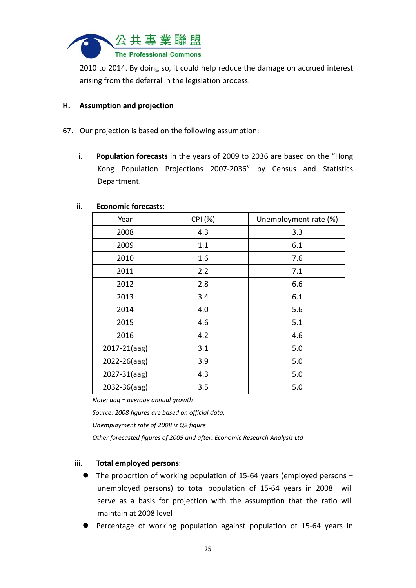

2010 to 2014. By doing so, it could help reduce the damage on accrued interest arising from the deferral in the legislation process.

#### **H. Assumption and projection**

- 67. Our projection is based on the following assumption:
	- i. **Population forecasts** in the years of 2009 to 2036 are based on the "Hong Kong Population Projections 2007‐2036" by Census and Statistics Department.

| בכטווטווווכ וטוככם אנא. |         |                       |  |  |  |  |  |  |  |  |
|-------------------------|---------|-----------------------|--|--|--|--|--|--|--|--|
| Year                    | CPI (%) | Unemployment rate (%) |  |  |  |  |  |  |  |  |
| 2008                    | 4.3     | 3.3                   |  |  |  |  |  |  |  |  |
| 2009                    | 1.1     | 6.1                   |  |  |  |  |  |  |  |  |
| 2010                    | 1.6     | 7.6                   |  |  |  |  |  |  |  |  |
| 2011                    | 2.2     | 7.1                   |  |  |  |  |  |  |  |  |
| 2012                    | 2.8     | 6.6                   |  |  |  |  |  |  |  |  |
| 2013                    | 3.4     | 6.1                   |  |  |  |  |  |  |  |  |
| 2014                    | 4.0     | 5.6                   |  |  |  |  |  |  |  |  |
| 2015                    | 4.6     | 5.1                   |  |  |  |  |  |  |  |  |
| 2016                    | 4.2     | 4.6                   |  |  |  |  |  |  |  |  |
| $2017 - 21(aag)$        | 3.1     | 5.0                   |  |  |  |  |  |  |  |  |
| 2022-26(aag)            | 3.9     | 5.0                   |  |  |  |  |  |  |  |  |
| $2027 - 31(aag)$        | 4.3     | 5.0                   |  |  |  |  |  |  |  |  |
| 2032-36(aag)            | 3.5     | 5.0                   |  |  |  |  |  |  |  |  |

#### ii. **Economic forecasts**:

*Note: aag = average annual growth*

*Source: 2008 figures are based on official data; Unemployment rate of 2008 is Q2 figure Other forecasted figures of 2009 and after: Economic Research Analysis Ltd*

#### iii. **Total employed persons**:

- The proportion of working population of 15‐64 years (employed persons + unemployed persons) to total population of 15‐64 years in 2008 will serve as a basis for projection with the assumption that the ratio will maintain at 2008 level
- Percentage of working population against population of 15‐64 years in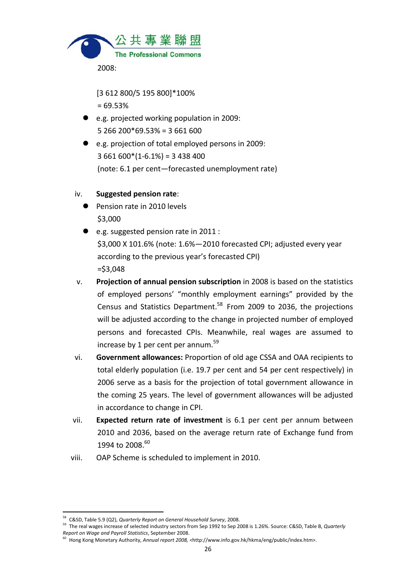

[3 612 800/5 195 800]\*100%

 $= 69.53%$ 

- e.g. projected working population in 2009: 5 266 200\*69.53% = 3 661 600
- e.g. projection of total employed persons in 2009:  $3661600*(1-6.1%) = 3438400$ (note: 6.1 per cent—forecasted unemployment rate)

#### iv. **Suggested pension rate**:

- **Pension rate in 2010 levels** \$3,000
- e.g. suggested pension rate in 2011 : \$3,000 X 101.6% (note: 1.6%—2010 forecasted CPI; adjusted every year according to the previous year's forecasted CPI) =\$3,048
- v. **Projection of annual pension subscription** in 2008 is based on the statistics of employed persons' "monthly employment earnings" provided by the Census and Statistics Department.<sup>58</sup> From 2009 to 2036, the projections will be adjusted according to the change in projected number of employed persons and forecasted CPIs. Meanwhile, real wages are assumed to increase by 1 per cent per annum. $59$
- vi. **Government allowances:** Proportion of old age CSSA and OAA recipients to total elderly population (i.e. 19.7 per cent and 54 per cent respectively) in 2006 serve as a basis for the projection of total government allowance in the coming 25 years. The level of government allowances will be adjusted in accordance to change in CPI.
- vii. **Expected return rate of investment** is 6.1 per cent per annum between 2010 and 2036, based on the average return rate of Exchange fund from 1994 to 2008.<sup>60</sup>
- viii. OAP Scheme is scheduled to implement in 2010.

 <sup>58</sup> C&SD, Table 5.9 (Q2), *Quarterly Report on General Household Survey*, 2008.

<sup>59</sup> The real wages increase of selected industry sectors from Sep 1992 to Sep 2008 is 1.26%. Source: C&SD, Table B, *Quarterly Report on Wage and Payroll Statistics*, September 2008.

<sup>60</sup> Hong Kong Monetary Authority, *Annual report 2008, <*http://www.info.gov.hk/hkma/eng/public/index.htm>.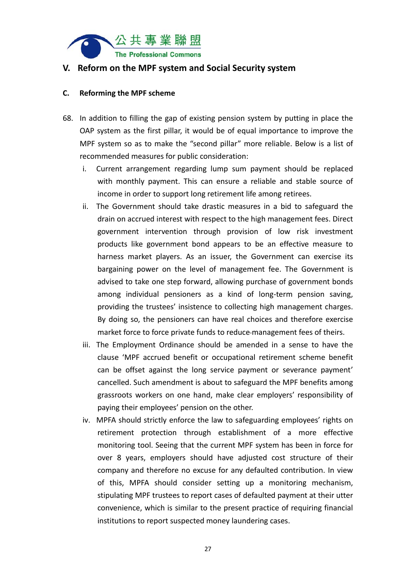

#### **V. Reform on the MPF system and Social Security system**

#### **C. Reforming the MPF scheme**

- 68. In addition to filling the gap of existing pension system by putting in place the OAP system as the first pillar, it would be of equal importance to improve the MPF system so as to make the "second pillar" more reliable. Below is a list of recommended measures for public consideration:
	- i. Current arrangement regarding lump sum payment should be replaced with monthly payment. This can ensure a reliable and stable source of income in order to support long retirement life among retirees.
	- ii. The Government should take drastic measures in a bid to safeguard the drain on accrued interest with respect to the high management fees. Direct government intervention through provision of low risk investment products like government bond appears to be an effective measure to harness market players. As an issuer, the Government can exercise its bargaining power on the level of management fee. The Government is advised to take one step forward, allowing purchase of government bonds among individual pensioners as a kind of long‐term pension saving, providing the trustees' insistence to collecting high management charges. By doing so, the pensioners can have real choices and therefore exercise market force to force private funds to reduce management fees of theirs.
	- iii. The Employment Ordinance should be amended in a sense to have the clause 'MPF accrued benefit or occupational retirement scheme benefit can be offset against the long service payment or severance payment' cancelled. Such amendment is about to safeguard the MPF benefits among grassroots workers on one hand, make clear employers' responsibility of paying their employees' pension on the other.
	- iv. MPFA should strictly enforce the law to safeguarding employees' rights on retirement protection through establishment of a more effective monitoring tool. Seeing that the current MPF system has been in force for over 8 years, employers should have adjusted cost structure of their company and therefore no excuse for any defaulted contribution. In view of this, MPFA should consider setting up a monitoring mechanism, stipulating MPF trustees to report cases of defaulted payment at their utter convenience, which is similar to the present practice of requiring financial institutions to report suspected money laundering cases.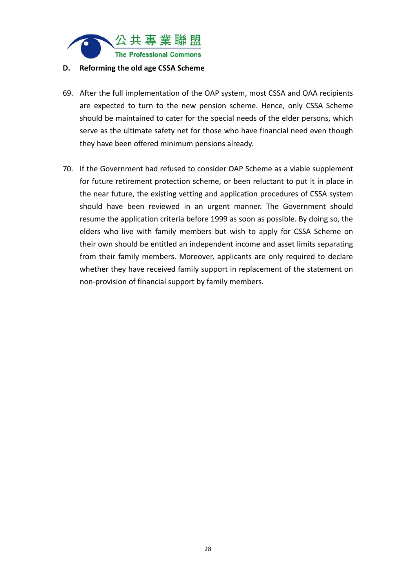

#### **D. Reforming the old age CSSA Scheme**

- 69. After the full implementation of the OAP system, most CSSA and OAA recipients are expected to turn to the new pension scheme. Hence, only CSSA Scheme should be maintained to cater for the special needs of the elder persons, which serve as the ultimate safety net for those who have financial need even though they have been offered minimum pensions already.
- 70. If the Government had refused to consider OAP Scheme as a viable supplement for future retirement protection scheme, or been reluctant to put it in place in the near future, the existing vetting and application procedures of CSSA system should have been reviewed in an urgent manner. The Government should resume the application criteria before 1999 as soon as possible. By doing so, the elders who live with family members but wish to apply for CSSA Scheme on their own should be entitled an independent income and asset limits separating from their family members. Moreover, applicants are only required to declare whether they have received family support in replacement of the statement on non‐provision of financial support by family members.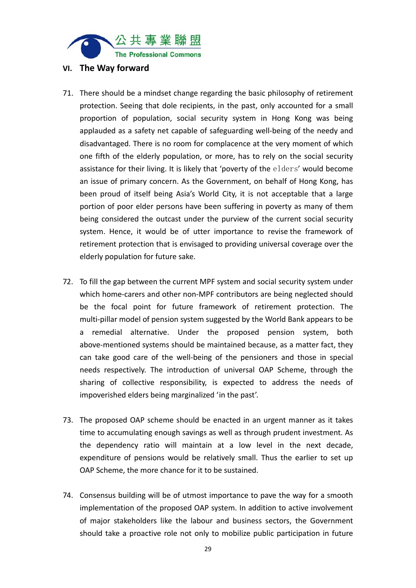

#### **VI. The Way forward**

- 71. There should be a mindset change regarding the basic philosophy of retirement protection. Seeing that dole recipients, in the past, only accounted for a small proportion of population, social security system in Hong Kong was being applauded as a safety net capable of safeguarding well‐being of the needy and disadvantaged. There is no room for complacence at the very moment of which one fifth of the elderly population, or more, has to rely on the social security assistance for their living. It is likely that 'poverty of the elders' would become an issue of primary concern. As the Government, on behalf of Hong Kong, has been proud of itself being Asia's World City, it is not acceptable that a large portion of poor elder persons have been suffering in poverty as many of them being considered the outcast under the purview of the current social security system. Hence, it would be of utter importance to revise the framework of retirement protection that is envisaged to providing universal coverage over the elderly population for future sake.
- 72. To fill the gap between the current MPF system and social security system under which home-carers and other non-MPF contributors are being neglected should be the focal point for future framework of retirement protection. The multi‐pillar model of pension system suggested by the World Bank appears to be a remedial alternative. Under the proposed pension system, both above‐mentioned systems should be maintained because, as a matter fact, they can take good care of the well‐being of the pensioners and those in special needs respectively. The introduction of universal OAP Scheme, through the sharing of collective responsibility, is expected to address the needs of impoverished elders being marginalized 'in the past'.
- 73. The proposed OAP scheme should be enacted in an urgent manner as it takes time to accumulating enough savings as well as through prudent investment. As the dependency ratio will maintain at a low level in the next decade, expenditure of pensions would be relatively small. Thus the earlier to set up OAP Scheme, the more chance for it to be sustained.
- 74. Consensus building will be of utmost importance to pave the way for a smooth implementation of the proposed OAP system. In addition to active involvement of major stakeholders like the labour and business sectors, the Government should take a proactive role not only to mobilize public participation in future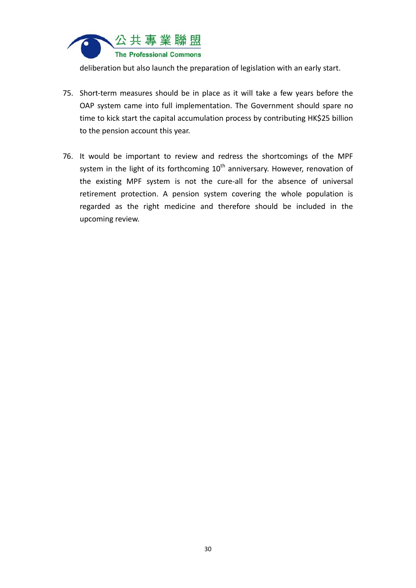

deliberation but also launch the preparation of legislation with an early start.

- 75. Short-term measures should be in place as it will take a few years before the OAP system came into full implementation. The Government should spare no time to kick start the capital accumulation process by contributing HK\$25 billion to the pension account this year.
- 76. It would be important to review and redress the shortcomings of the MPF system in the light of its forthcoming  $10<sup>th</sup>$  anniversary. However, renovation of the existing MPF system is not the cure-all for the absence of universal retirement protection. A pension system covering the whole population is regarded as the right medicine and therefore should be included in the upcoming review.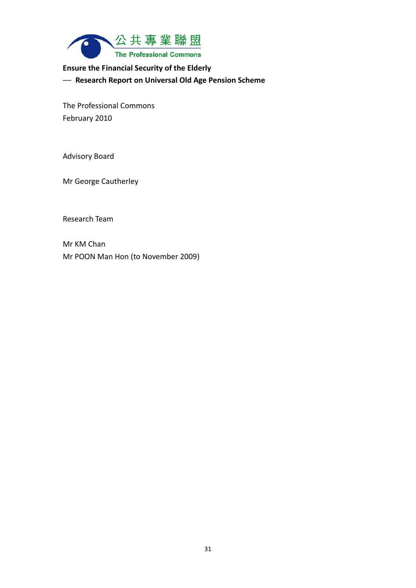

#### **Ensure the Financial Security of the Elderly**

─ **Research Report on Universal Old Age Pension Scheme**

The Professional Commons February 2010

Advisory Board

Mr George Cautherley

Research Team

Mr KM Chan Mr POON Man Hon (to November 2009)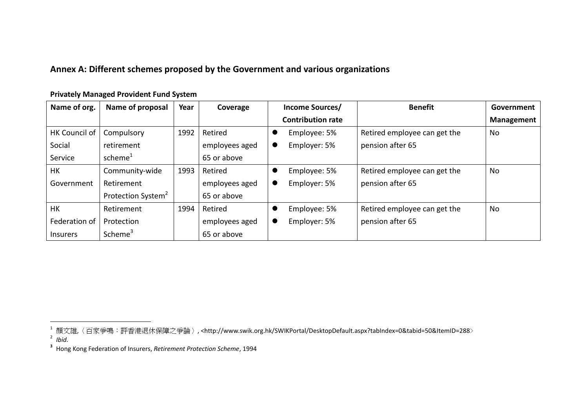#### **Annex A: Different schemes proposed by the Government and various organizations**

| Name of org.    | Name of proposal               | Year | Coverage       | <b>Benefit</b><br>Income Sources/                 | Government        |
|-----------------|--------------------------------|------|----------------|---------------------------------------------------|-------------------|
|                 |                                |      |                | <b>Contribution rate</b>                          | <b>Management</b> |
| HK Council of   | Compulsory                     | 1992 | Retired        | Retired employee can get the<br>Employee: 5%      | No                |
| Social          | retirement                     |      | employees aged | pension after 65<br>Employer: 5%<br>$\bullet$     |                   |
| Service         | scheme <sup>1</sup>            |      | 65 or above    |                                                   |                   |
| HK              | Community-wide                 | 1993 | Retired        | Retired employee can get the<br>Employee: 5%<br>0 | No                |
| Government      | Retirement                     |      | employees aged | pension after 65<br>Employer: 5%<br>$\bullet$     |                   |
|                 | Protection System <sup>2</sup> |      | 65 or above    |                                                   |                   |
| <b>HK</b>       | Retirement                     | 1994 | Retired        | Retired employee can get the<br>Employee: 5%      | No                |
| Federation of   | Protection                     |      | employees aged | pension after 65<br>Employer: 5%<br>$\bullet$     |                   |
| <b>Insurers</b> | Scheme <sup>3</sup>            |      | 65 or above    |                                                   |                   |

**Privately Managed Provident Fund System**

<sup>&</sup>lt;sup>1</sup> 顏文雄,〈百家爭鳴:評香港退休保障之爭論〉, <http://www.swik.org.hk/SWIKPortal/DesktopDefault.aspx?tabIndex=0&tabid=50&ItemID=288><br><sup>2</sup> *Ibid.* 

**<sup>3</sup>** Hong Kong Federation of Insurers, *Retirement Protection Scheme*, 1994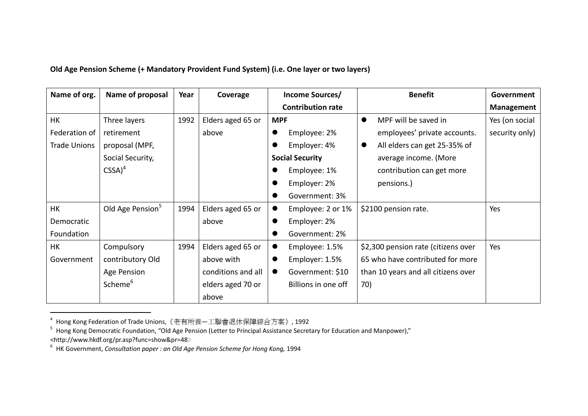#### **Old Age Pension Scheme (+ Mandatory Provident Fund System) (i.e. One layer or two layers)**

| Name of org.        | Name of proposal             | Year | Coverage           | Income Sources/                | <b>Benefit</b>                            | Government        |
|---------------------|------------------------------|------|--------------------|--------------------------------|-------------------------------------------|-------------------|
|                     |                              |      |                    | <b>Contribution rate</b>       |                                           | <b>Management</b> |
| HK                  | Three layers                 | 1992 | Elders aged 65 or  | <b>MPF</b>                     | MPF will be saved in<br>$\bullet$         | Yes (on social    |
| Federation of       | retirement                   |      | above              | Employee: 2%                   | employees' private accounts.              | security only)    |
| <b>Trade Unions</b> | proposal (MPF,               |      |                    | Employer: 4%                   | All elders can get 25-35% of<br>$\bullet$ |                   |
|                     | Social Security,             |      |                    | <b>Social Security</b>         | average income. (More                     |                   |
|                     | $CSSA)^4$                    |      |                    | Employee: 1%                   | contribution can get more                 |                   |
|                     |                              |      |                    | Employer: 2%                   | pensions.)                                |                   |
|                     |                              |      |                    | Government: 3%                 |                                           |                   |
| <b>HK</b>           | Old Age Pension <sup>5</sup> | 1994 | Elders aged 65 or  | Employee: 2 or 1%<br>$\bullet$ | \$2100 pension rate.                      | Yes               |
| Democratic          |                              |      | above              | Employer: 2%                   |                                           |                   |
| Foundation          |                              |      |                    | Government: 2%                 |                                           |                   |
| <b>HK</b>           | Compulsory                   | 1994 | Elders aged 65 or  | Employee: 1.5%                 | \$2,300 pension rate (citizens over       | Yes               |
| Government          | contributory Old             |      | above with         | Employer: 1.5%                 | 65 who have contributed for more          |                   |
|                     | Age Pension                  |      | conditions and all | Government: \$10               | than 10 years and all citizens over       |                   |
|                     | Scheme <sup>6</sup>          |      | elders aged 70 or  | Billions in one off            | 70)                                       |                   |
|                     |                              |      | above              |                                |                                           |                   |

<sup>&</sup>lt;sup>4</sup> Hong Kong Federation of Trade Unions,《老有所養—工聯會退休保障綜合方案》, 1992<br><sup>5</sup> Hong Kong Democratic Foundation, "Old Age Pension (Letter to Principal Assistance Secretary for Education and Manpower)," <http://www.hkdf.org/pr.asp?func=show&pr=48﹥ 6 HK Government, *Consultation paper : an Old Age Pension Scheme for Hong Kong,* 1994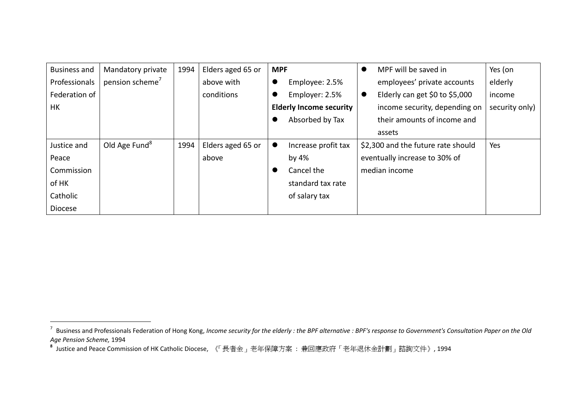| <b>Business and</b> | Mandatory private           | 1994 | Elders aged 65 or | <b>MPF</b><br>$\bullet$          |           | MPF will be saved in               | Yes (on        |
|---------------------|-----------------------------|------|-------------------|----------------------------------|-----------|------------------------------------|----------------|
| Professionals       | pension scheme <sup>7</sup> |      | above with        | Employee: 2.5%<br>v              |           | employees' private accounts        | elderly        |
| Federation of       |                             |      | conditions        | Employer: 2.5%                   | $\bullet$ | Elderly can get \$0 to \$5,000     | income         |
| HK                  |                             |      |                   | <b>Elderly Income security</b>   |           | income security, depending on      | security only) |
|                     |                             |      |                   | Absorbed by Tax                  |           | their amounts of income and        |                |
|                     |                             |      |                   |                                  |           | assets                             |                |
| Justice and         | Old Age Fund <sup>8</sup>   | 1994 | Elders aged 65 or | Increase profit tax<br>$\bullet$ |           | \$2,300 and the future rate should | Yes            |
| Peace               |                             |      | above             | by $4%$                          |           | eventually increase to 30% of      |                |
| Commission          |                             |      |                   | Cancel the<br>$\bullet$          |           | median income                      |                |
| of HK               |                             |      |                   | standard tax rate                |           |                                    |                |
| Catholic            |                             |      |                   | of salary tax                    |           |                                    |                |
| <b>Diocese</b>      |                             |      |                   |                                  |           |                                    |                |

<sup>7</sup> $'$  Business and Professionals Federation of Hong Kong, Income security for the elderly : the BPF alternative : BPF's response to Government's Consultation Paper on the Old

*Age Pension Scheme,* 1994 **8** Justice and Peace Commission of HK Catholic Diocese, 《「長者金」老年保障方案 : 兼回應政府「老年退休金計劃」諮詢文件》, <sup>1994</sup>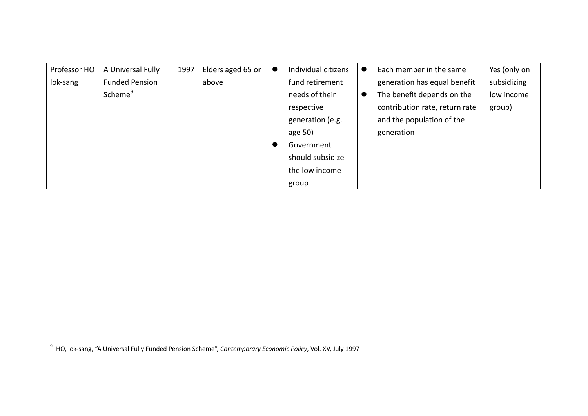| Professor HO | A Universal Fully     | 1997 | Elders aged 65 or | $\bullet$ | Individual citizens | $\bullet$ | Each member in the same        | Yes (only on |
|--------------|-----------------------|------|-------------------|-----------|---------------------|-----------|--------------------------------|--------------|
| lok-sang     | <b>Funded Pension</b> |      | above             |           | fund retirement     |           | generation has equal benefit   | subsidizing  |
|              | Scheme <sup>9</sup>   |      |                   |           | needs of their      | $\bullet$ | The benefit depends on the     | low income   |
|              |                       |      |                   |           | respective          |           | contribution rate, return rate | group)       |
|              |                       |      |                   |           | generation (e.g.    |           | and the population of the      |              |
|              |                       |      |                   |           | age 50)             |           | generation                     |              |
|              |                       |      |                   |           | Government          |           |                                |              |
|              |                       |      |                   |           | should subsidize    |           |                                |              |
|              |                       |      |                   |           | the low income      |           |                                |              |
|              |                       |      |                   |           | group               |           |                                |              |

<sup>9</sup> HO, lok‐sang, "A Universal Fully Funded Pension Scheme", *Contemporary Economic Policy*, Vol. XV, July 1997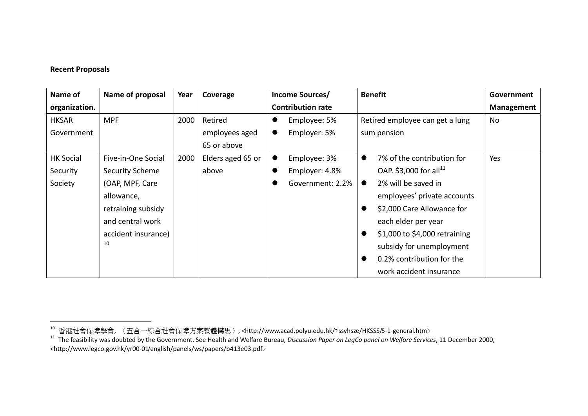#### **Recent Proposals**

| Name of          | Name of proposal    | Year | Coverage          | Income Sources/           | <b>Benefit</b>                             | Government |
|------------------|---------------------|------|-------------------|---------------------------|--------------------------------------------|------------|
| organization.    |                     |      |                   | <b>Contribution rate</b>  |                                            | Management |
| <b>HKSAR</b>     | <b>MPF</b>          | 2000 | Retired           | Employee: 5%<br>$\bullet$ | Retired employee can get a lung            | No         |
| Government       |                     |      | employees aged    | Employer: 5%<br>$\bullet$ | sum pension                                |            |
|                  |                     |      | 65 or above       |                           |                                            |            |
| <b>HK Social</b> | Five-in-One Social  | 2000 | Elders aged 65 or | Employee: 3%<br>$\bullet$ | 7% of the contribution for<br>$\bullet$    | Yes        |
| Security         | Security Scheme     |      | above             | Employer: 4.8%            | OAP. \$3,000 for all <sup>11</sup>         |            |
| Society          | (OAP, MPF, Care     |      |                   | Government: 2.2%          | 2% will be saved in<br>$\bullet$           |            |
|                  | allowance,          |      |                   |                           | employees' private accounts                |            |
|                  | retraining subsidy  |      |                   |                           | \$2,000 Care Allowance for<br>$\bullet$    |            |
|                  | and central work    |      |                   |                           | each elder per year                        |            |
|                  | accident insurance) |      |                   |                           | \$1,000 to \$4,000 retraining<br>$\bullet$ |            |
|                  | 10                  |      |                   |                           | subsidy for unemployment                   |            |
|                  |                     |      |                   |                           | 0.2% contribution for the                  |            |
|                  |                     |      |                   |                           | work accident insurance                    |            |

<sup>&</sup>lt;sup>10</sup> 香港社會保障學會, 〈 五合一綜合社會保障方案整體構思 〉, <http://www.acad.polyu.edu.hk/~ssyhsze/HKSSS/5-1-general.htm><br><sup>11</sup> The feasibility was doubted by the Government. See Health and Welfare Bureau, *Discussion Paper on LegCo panel on* 

<sup>&</sup>lt;http://www.legco.gov.hk/yr00‐01/english/panels/ws/papers/b413e03.pdf﹥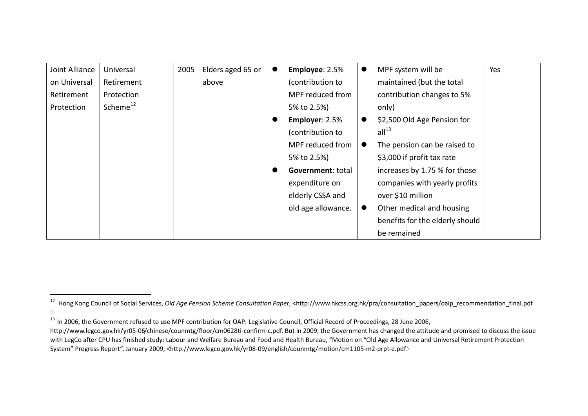| Joint Alliance | Universal            | 2005 | Elders aged 65 or | Employee: 2.5%     | $\bullet$ | MPF system will be              | Yes |
|----------------|----------------------|------|-------------------|--------------------|-----------|---------------------------------|-----|
| on Universal   | Retirement           |      | above             | (contribution to   |           | maintained (but the total       |     |
| Retirement     | Protection           |      |                   | MPF reduced from   |           | contribution changes to 5%      |     |
| Protection     | Scheme <sup>12</sup> |      |                   | 5% to 2.5%)        |           | only)                           |     |
|                |                      |      |                   | Employer: 2.5%     |           | \$2,500 Old Age Pension for     |     |
|                |                      |      |                   | (contribution to   |           | all <sup>13</sup>               |     |
|                |                      |      |                   | MPF reduced from   | $\bullet$ | The pension can be raised to    |     |
|                |                      |      |                   | 5% to 2.5%)        |           | \$3,000 if profit tax rate      |     |
|                |                      |      |                   | Government: total  |           | increases by 1.75 % for those   |     |
|                |                      |      |                   | expenditure on     |           | companies with yearly profits   |     |
|                |                      |      |                   | elderly CSSA and   |           | over \$10 million               |     |
|                |                      |      |                   | old age allowance. | $\bullet$ | Other medical and housing       |     |
|                |                      |      |                   |                    |           | benefits for the elderly should |     |
|                |                      |      |                   |                    |           | be remained                     |     |

<sup>12</sup> Hong Kong Council of Social Services, *Old Age Pension Scheme Consultation Paper*, <http://www.hkcss.org.hk/pra/consultation\_papers/oaip\_recommendation\_final.pdf  $>$ 

<sup>&</sup>lt;sup>13</sup> In 2006, the Government refused to use MPF contribution for OAP: Legislative Council, Official Record of Proceedings, 28 June 2006,

http://www.legco.gov.hk/yr05-06/chinese/counmtg/floor/cm0628ti-confirm-c.pdf. But in 2009, the Government has changed the attitude and promised to discuss the issue with LegCo after CPU has finished study: Labour and Welfare Bureau and Food and Health Bureau, "Motion on "Old Age Allowance and Universal Retirement Protection System" Progress Report", January 2009, <http://www.legco.gov.hk/yr08‐09/english/counmtg/motion/cm1105‐m2‐prpt‐e.pdf﹥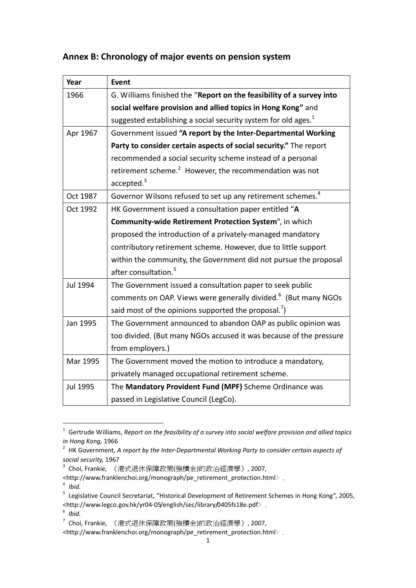# **Annex B: Chronology of major events on pension system**

| Year     | <b>Event</b>                                                               |
|----------|----------------------------------------------------------------------------|
| 1966     | G. Williams finished the "Report on the feasibility of a survey into       |
|          | social welfare provision and allied topics in Hong Kong" and               |
|          | suggested establishing a social security system for old ages. <sup>1</sup> |
| Apr 1967 | Government issued "A report by the Inter-Departmental Working              |
|          | Party to consider certain aspects of social security." The report          |
|          | recommended a social security scheme instead of a personal                 |
|          | retirement scheme. <sup>2</sup> However, the recommendation was not        |
|          | accelted. <sup>3</sup>                                                     |
| Oct 1987 | Governor Wilsons refused to set up any retirement schemes. <sup>4</sup>    |
| Oct 1992 | HK Government issued a consultation paper entitled "A                      |
|          | Community-wide Retirement Protection System", in which                     |
|          | proposed the introduction of a privately-managed mandatory                 |
|          | contributory retirement scheme. However, due to little support             |
|          | within the community, the Government did not pursue the proposal           |
|          | after consultation. <sup>5</sup>                                           |
| Jul 1994 | The Government issued a consultation paper to seek public                  |
|          | comments on OAP. Views were generally divided. <sup>6</sup> (But many NGOs |
|          | said most of the opinions supported the proposal. <sup>7</sup> )           |
| Jan 1995 | The Government announced to abandon OAP as public opinion was              |
|          | too divided. (But many NGOs accused it was because of the pressure         |
|          | from employers.)                                                           |
| Mar 1995 | The Government moved the motion to introduce a mandatory,                  |
|          | privately managed occupational retirement scheme.                          |
| Jul 1995 | The Mandatory Provident Fund (MPF) Scheme Ordinance was                    |
|          | passed in Legislative Council (LegCo).                                     |

<sup>1</sup> Gertrude Williams, *Report on the feasibility of a survey into social welfare provision and allied topics in Hong Kong,* 1966

<sup>4</sup> *Ibid.*

<sup>2</sup> HK Government, *A report by the Inter‐Departmental Working Party to consider certain aspects of social security,* 1967

<sup>3</sup> Choi, Frankie, 《港式退休保障政策(強積金)的政治經濟學》, 2007,

<sup>&</sup>lt;http://www.franklenchoi.org/monograph/pe\_retirement\_protection.html﹥.

<sup>5</sup> Legislative Council Secretariat, "Historical Development of Retirement Schemes in Hong Kong", 2005, <http://www.legco.gov.hk/yr04‐05/english/sec/library/0405fs18e.pdf﹥.

<sup>6</sup> *Ibid.*

 $7$  Choi, Frankie, 《港式退休保障政策(強積金)的政治經濟學》, 2007,

<sup>&</sup>lt;http://www.franklenchoi.org/monograph/pe\_retirement\_protection.html﹥.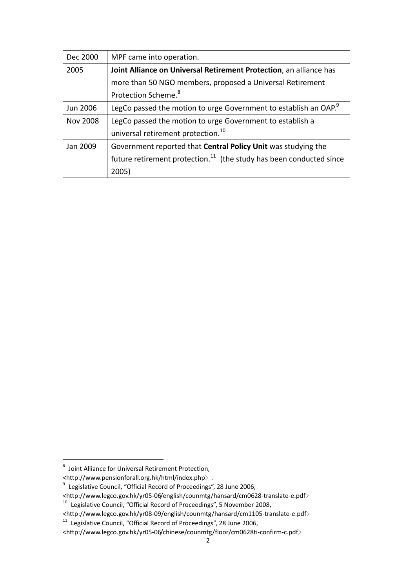| Dec 2000        | MPF came into operation.                                                        |
|-----------------|---------------------------------------------------------------------------------|
| 2005            | Joint Alliance on Universal Retirement Protection, an alliance has              |
|                 | more than 50 NGO members, proposed a Universal Retirement                       |
|                 | Protection Scheme. <sup>8</sup>                                                 |
| Jun 2006        | LegCo passed the motion to urge Government to establish an OAP. <sup>9</sup>    |
| <b>Nov 2008</b> | LegCo passed the motion to urge Government to establish a                       |
|                 | universal retirement protection. <sup>10</sup>                                  |
| Jan 2009        | Government reported that Central Policy Unit was studying the                   |
|                 | future retirement protection. <sup>11</sup> (the study has been conducted since |
|                 | 2005)                                                                           |

<sup>8</sup> Joint Alliance for Universal Retirement Protection,

<sup>&</sup>lt;http://www.pensionforall.org.hk/html/index.php﹥.

 $^{9}$  Legislative Council, "Official Record of Proceedings", 28 June 2006,

<sup>&</sup>lt;http://www.legco.gov.hk/yr05‐06/english/counmtg/hansard/cm0628‐translate‐e.pdf﹥

<sup>10</sup> Legislative Council, "Official Record of Proceedings", 5 November 2008,

<sup>&</sup>lt;http://www.legco.gov.hk/yr08‐09/english/counmtg/hansard/cm1105‐translate‐e.pdf﹥

<sup>&</sup>lt;sup>11</sup> Legislative Council, "Official Record of Proceedings", 28 June 2006,

<sup>&</sup>lt;http://www.legco.gov.hk/yr05‐06/chinese/counmtg/floor/cm0628ti‐confirm‐c.pdf﹥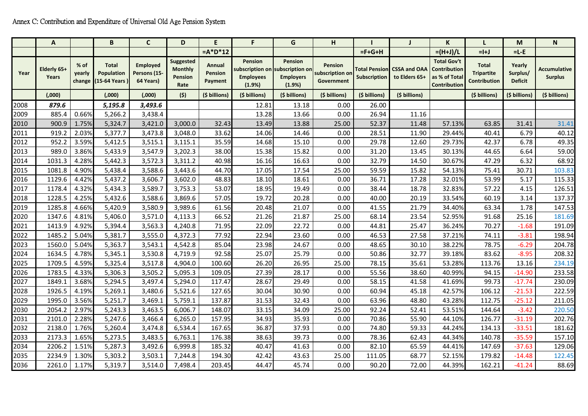|      | A                    |                | B                                                  | C                                            | D                                              | E                                   | F                                                                        | G                                            | н                                               |                                      |                                      | K                                                                          |                                                   | M                                    | N                                     |
|------|----------------------|----------------|----------------------------------------------------|----------------------------------------------|------------------------------------------------|-------------------------------------|--------------------------------------------------------------------------|----------------------------------------------|-------------------------------------------------|--------------------------------------|--------------------------------------|----------------------------------------------------------------------------|---------------------------------------------------|--------------------------------------|---------------------------------------|
|      |                      |                |                                                    |                                              |                                                | $= A^*D^*12$                        |                                                                          |                                              |                                                 | $=F+G+H$                             |                                      | $= (H+J)/L$                                                                | $=$ $+$ J                                         | $= L - E$                            |                                       |
| Year | Elderly 65+<br>Years | % of<br>yearly | <b>Total</b><br>Population<br>change (15-64 Years) | <b>Employed</b><br>Persons (15-<br>64 Years) | Suggested<br><b>Monthly</b><br>Pension<br>Rate | Annual<br><b>Pension</b><br>Payment | Pension<br>subscription on subscription on<br><b>Employees</b><br>(1.9%) | <b>Pension</b><br><b>Employers</b><br>(1.9%) | <b>Pension</b><br>subscription on<br>Government | <b>Total Pension</b><br>Subscription | <b>CSSA and OAA</b><br>to Elders 65+ | <b>Total Gov't</b><br><b>Contribution</b><br>as % of Total<br>Contribution | <b>Total</b><br><b>Tripartite</b><br>Contribution | Yearly<br>Surplus/<br><b>Deficit</b> | <b>Accumulative</b><br><b>Surplus</b> |
|      | (0.000)              |                | (0.000)                                            | (000, )                                      | (5)                                            | (\$ billions)                       | (\$ billions)                                                            | (\$ billions)                                | (\$ billions)                                   | (\$ billions)                        | (\$ billions)                        |                                                                            | (\$ billions)                                     | (\$ billions)                        | (\$ billions)                         |
| 2008 | 879.6                |                | 5,195.8                                            | 3,493.6                                      |                                                |                                     | 12.81                                                                    | 13.18                                        | 0.00                                            | 26.00                                |                                      |                                                                            |                                                   |                                      |                                       |
| 2009 | 885.4                | 0.66%          | 5,266.2                                            | 3,438.4                                      |                                                |                                     | 13.28                                                                    | 13.66                                        | 0.00                                            | 26.94                                | 11.16                                |                                                                            |                                                   |                                      |                                       |
| 2010 | 900.9                | 1.75%          | 5,324.7                                            | 3,421.0                                      | 3,000.0                                        | 32.43                               | 13.49                                                                    | 13.88                                        | 25.00                                           | 52.37                                | 11.48                                | 57.13%                                                                     | 63.85                                             | 31.41                                | 31.41                                 |
| 2011 | 919.2                | 2.03%          | 5,377.7                                            | 3,473.8                                      | 3,048.0                                        | 33.62                               | 14.06                                                                    | 14.46                                        | 0.00                                            | 28.51                                | 11.90                                | 29.44%                                                                     | 40.41                                             | 6.79                                 | 40.12                                 |
| 2012 | 952.2                | 3.59%          | 5,412.5                                            | 3,515.1                                      | 3,115.1                                        | 35.59                               | 14.68                                                                    | 15.10                                        | 0.00                                            | 29.78                                | 12.60                                | 29.73%                                                                     | 42.37                                             | 6.78                                 | 49.35                                 |
| 2013 | 989.0                | 3.86%          | 5,433.9                                            | 3,547.9                                      | 3,202.3                                        | 38.00                               | 15.38                                                                    | 15.82                                        | 0.00                                            | 31.20                                | 13.45                                | 30.13%                                                                     | 44.65                                             | 6.64                                 | 59.00                                 |
| 2014 | 1031.3               | 4.28%          | 5,442.3                                            | 3,572.3                                      | 3,311.2                                        | 40.98                               | 16.16                                                                    | 16.63                                        | 0.00                                            | 32.79                                | 14.50                                | 30.67%                                                                     | 47.29                                             | 6.32                                 | 68.92                                 |
| 2015 | 1081.8               | 4.90%          | 5,438.4                                            | 3,588.6                                      | 3,443.6                                        | 44.70                               | 17.05                                                                    | 17.54                                        | 25.00                                           | 59.59                                | 15.82                                | 54.13%                                                                     | 75.41                                             | 30.71                                | 103.83                                |
| 2016 | 1129.6               | 4.42%          | 5,437.2                                            | 3,606.7                                      | 3,602.0                                        | 48.83                               | 18.10                                                                    | 18.61                                        | 0.00                                            | 36.71                                | 17.28                                | 32.01%                                                                     | 53.99                                             | 5.17                                 | 115.33                                |
| 2017 | 1178.4               | 4.32%          | 5,434.3                                            | 3,589.7                                      | 3,753.3                                        | 53.07                               | 18.95                                                                    | 19.49                                        | 0.00                                            | 38.44                                | 18.78                                | 32.83%                                                                     | 57.22                                             | 4.15                                 | 126.51                                |
| 2018 | 1228.5               | 4.25%          | 5,432.6                                            | 3,588.6                                      | 3,869.6                                        | 57.05                               | 19.72                                                                    | 20.28                                        | 0.00                                            | 40.00                                | 20.19                                | 33.54%                                                                     | 60.19                                             | 3.14                                 | 137.37                                |
| 2019 | 1285.8               | 4.66%          | 5,420.9                                            | 3,580.9                                      | 3,989.6                                        | 61.56                               | 20.48                                                                    | 21.07                                        | 0.00                                            | 41.55                                | 21.79                                | 34.40%                                                                     | 63.34                                             | 1.78                                 | 147.53                                |
| 2020 | 1347.6               | 4.81%          | 5,406.0                                            | 3,571.0                                      | 4,113.3                                        | 66.52                               | 21.26                                                                    | 21.87                                        | 25.00                                           | 68.14                                | 23.54                                | 52.95%                                                                     | 91.68                                             | 25.16                                | 181.69                                |
| 2021 | 1413.9               | 4.92%          | 5,394.4                                            | 3,563.3                                      | 4,240.8                                        | 71.95                               | 22.09                                                                    | 22.72                                        | 0.00                                            | 44.81                                | 25.47                                | 36.24%                                                                     | 70.27                                             | $-1.68$                              | 191.09                                |
| 2022 | 1485.2               | 5.04%          | 5,381.7                                            | 3,555.0                                      | 4,372.3                                        | 77.92                               | 22.94                                                                    | 23.60                                        | 0.00                                            | 46.53                                | 27.58                                | 37.21%                                                                     | 74.11                                             | $-3.81$                              | 198.94                                |
| 2023 | 1560.0               | 5.04%          | 5,363.7                                            | 3,543.1                                      | 4,542.8                                        | 85.04                               | 23.98                                                                    | 24.67                                        | 0.00                                            | 48.65                                | 30.10                                | 38.22%                                                                     | 78.75                                             | $-6.29$                              | 204.78                                |
| 2024 | 1634.5               | 4.78%          | 5,345.1                                            | 3,530.8                                      | 4,719.9                                        | 92.58                               | 25.07                                                                    | 25.79                                        | 0.00                                            | 50.86                                | 32.77                                | 39.18%                                                                     | 83.62                                             | $-8.95$                              | 208.32                                |
| 2025 | 1709.5               | 4.59%          | 5,325.4                                            | 3,517.8                                      | 4,904.0                                        | 100.60                              | 26.20                                                                    | 26.95                                        | 25.00                                           | 78.15                                | 35.61                                | 53.28%                                                                     | 113.76                                            | 13.16                                | 234.19                                |
| 2026 | 1783.5               | 4.33%          | 5,306.3                                            | 3,505.2                                      | 5,095.3                                        | 109.05                              | 27.39                                                                    | 28.17                                        | 0.00                                            | 55.56                                | 38.60                                | 40.99%                                                                     | 94.15                                             | $-14.90$                             | 233.58                                |
| 2027 | 1849.1               | 3.68%          | 5,294.5                                            | 3,497.4                                      | 5,294.0                                        | 117.47                              | 28.67                                                                    | 29.49                                        | 0.00                                            | 58.15                                | 41.58                                | 41.69%                                                                     | 99.73                                             | $-17.74$                             | 230.09                                |
| 2028 | 1926.5               | 4.19%          | 5,269.1                                            | 3,480.6                                      | 5,521.6                                        | 127.65                              | 30.04                                                                    | 30.90                                        | 0.00                                            | 60.94                                | 45.18                                | 42.57%                                                                     | 106.12                                            | $-21.53$                             | 222.59                                |
| 2029 | 1995.0               | 3.56%          | 5,251.7                                            | 3,469.1                                      | 5,759.1                                        | 137.87                              | 31.53                                                                    | 32.43                                        | 0.00                                            | 63.96                                | 48.80                                | 43.28%                                                                     | 112.75                                            | $-25.12$                             | 211.05                                |
| 2030 | 2054.2               | 2.97%          | 5,243.3                                            | 3,463.5                                      | 6,006.7                                        | 148.07                              | 33.15                                                                    | 34.09                                        | 25.00                                           | 92.24                                | 52.41                                | 53.51%                                                                     | 144.64                                            | $-3.42$                              | 220.50                                |
| 2031 | 2101.0               | 2.28%          | 5,247.6                                            | 3,466.4                                      | 6,265.0                                        | 157.95                              | 34.93                                                                    | 35.93                                        | 0.00                                            | 70.86                                | 55.90                                | 44.10%                                                                     | 126.77                                            | $-31.19$                             | 202.76                                |
| 2032 | 2138.0               | 1.76%          | 5,260.4                                            | 3,474.8                                      | 6,534.4                                        | 167.65                              | 36.87                                                                    | 37.93                                        | 0.00                                            | 74.80                                | 59.33                                | 44.24%                                                                     | 134.13                                            | $-33.51$                             | 181.62                                |
| 2033 | 2173.3               | 1.65%          | 5,273.5                                            | 3,483.5                                      | 6,763.1                                        | 176.38                              | 38.63                                                                    | 39.73                                        | 0.00                                            | 78.36                                | 62.43                                | 44.34%                                                                     | 140.78                                            | $-35.59$                             | 157.10                                |
| 2034 | 2206.2               | 1.51%          | 5,287.3                                            | 3,492.6                                      | 6,999.8                                        | 185.32                              | 40.47                                                                    | 41.63                                        | 0.00                                            | 82.10                                | 65.59                                | 44.41%                                                                     | 147.69                                            | $-37.63$                             | 129.06                                |
| 2035 | 2234.9               | 1.30%          | 5,303.2                                            | 3,503.1                                      | 7,244.8                                        | 194.30                              | 42.42                                                                    | 43.63                                        | 25.00                                           | 111.05                               | 68.77                                | 52.15%                                                                     | 179.82                                            | $-14.48$                             | 122.45                                |
| 2036 | 2261.0               | 1.17%          | 5,319.7                                            | 3,514.0                                      | 7,498.4                                        | 203.45                              | 44.47                                                                    | 45.74                                        | 0.00                                            | 90.20                                | 72.00                                | 44.39%                                                                     | 162.21                                            | $-41.24$                             | 88.69                                 |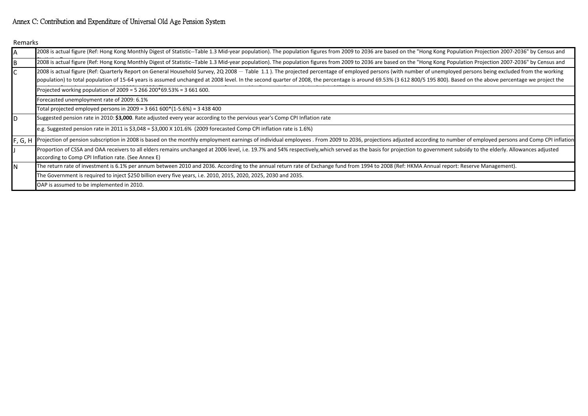#### Annex C: Contribution and Expenditure of Universal Old Age Pension System

Remarks

| A   | 2008 is actual figure (Ref: Hong Kong Monthly Digest of Statistic--Table 1.3 Mid-year population). The population figures from 2009 to 2036 are based on the "Hong Kong Population Projection 2007-2036" by Census and                                                                                                                                                                                                                   |  |  |  |  |  |  |  |
|-----|------------------------------------------------------------------------------------------------------------------------------------------------------------------------------------------------------------------------------------------------------------------------------------------------------------------------------------------------------------------------------------------------------------------------------------------|--|--|--|--|--|--|--|
| B   | 2008 is actual figure (Ref: Hong Kong Monthly Digest of Statistic--Table 1.3 Mid-year population). The population figures from 2009 to 2036 are based on the "Hong Kong Population Projection 2007-2036" by Census and                                                                                                                                                                                                                   |  |  |  |  |  |  |  |
|     | 2008 is actual figure (Ref: Quarterly Report on General Household Survey, 2Q 2008 - Table 1.1). The projected percentage of employed persons (with number of unemployed persons being excluded from the working<br>population) to total population of 15-64 years is assumed unchanged at 2008 level. In the second quarter of 2008, the percentage is around 69.53% (3 612 800/5 195 800). Based on the above percentage we project the |  |  |  |  |  |  |  |
|     | Projected working population of 2009 = 5 266 200*69.53% = 3 661 600.                                                                                                                                                                                                                                                                                                                                                                     |  |  |  |  |  |  |  |
|     | Forecasted unemployment rate of 2009: 6.1%                                                                                                                                                                                                                                                                                                                                                                                               |  |  |  |  |  |  |  |
|     | Total projected employed persons in $2009 = 3661600*(1-5.6%) = 3438400$                                                                                                                                                                                                                                                                                                                                                                  |  |  |  |  |  |  |  |
| D   | Suggested pension rate in 2010: \$3,000. Rate adjusted every year according to the pervious year's Comp CPI Inflation rate                                                                                                                                                                                                                                                                                                               |  |  |  |  |  |  |  |
|     | e.g. Suggested pension rate in 2011 is $$3,048 = $3,000 \times 101.6\%$ (2009 forecasted Comp CPI inflation rate is 1.6%)                                                                                                                                                                                                                                                                                                                |  |  |  |  |  |  |  |
|     | F, G, H Projection of pension subscription in 2008 is based on the monthly employment earnings of individual employees . From 2009 to 2036, projections adjusted according to number of employed persons and Comp CPI inflatio                                                                                                                                                                                                           |  |  |  |  |  |  |  |
|     | Proportion of CSSA and OAA receivers to all elders remains unchanged at 2006 level, i.e. 19.7% and 54% respectively, which served as the basis for projection to government subsidy to the elderly. Allowances adjusted<br>according to Comp CPI Inflation rate. (See Annex E)                                                                                                                                                           |  |  |  |  |  |  |  |
| IN. | The return rate of investment is 6.1% per annum between 2010 and 2036. According to the annual return rate of Exchange fund from 1994 to 2008 (Ref: HKMA Annual report: Reserve Management).                                                                                                                                                                                                                                             |  |  |  |  |  |  |  |
|     | The Government is required to inject \$250 billion every five years, i.e. 2010, 2015, 2020, 2025, 2030 and 2035.                                                                                                                                                                                                                                                                                                                         |  |  |  |  |  |  |  |
|     | OAP is assumed to be implemented in 2010.                                                                                                                                                                                                                                                                                                                                                                                                |  |  |  |  |  |  |  |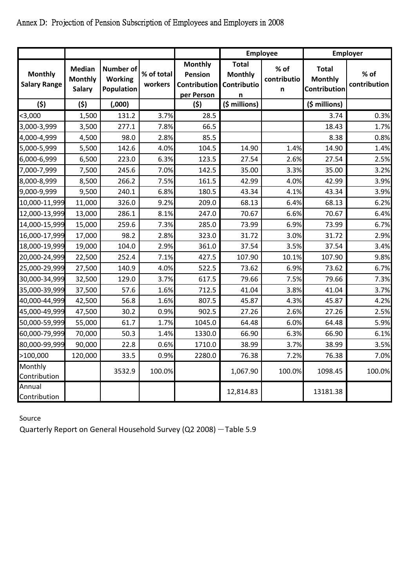|                                       |                                                  |                                                  |                       |                                                                | <b>Employee</b>                                    |                          | <b>Employer</b>                                |                      |
|---------------------------------------|--------------------------------------------------|--------------------------------------------------|-----------------------|----------------------------------------------------------------|----------------------------------------------------|--------------------------|------------------------------------------------|----------------------|
| <b>Monthly</b><br><b>Salary Range</b> | <b>Median</b><br><b>Monthly</b><br><b>Salary</b> | <b>Number of</b><br><b>Working</b><br>Population | % of total<br>workers | <b>Monthly</b><br><b>Pension</b><br>Contribution<br>per Person | <b>Total</b><br><b>Monthly</b><br>Contributio<br>n | % of<br>contributio<br>n | <b>Total</b><br><b>Monthly</b><br>Contribution | % of<br>contribution |
| (5)                                   | (5)                                              | (0.000)                                          |                       | (5)                                                            | (\$ millions)                                      |                          | (\$ millions)                                  |                      |
| $3,000$                               | 1,500                                            | 131.2                                            | 3.7%                  | 28.5                                                           |                                                    |                          | 3.74                                           | 0.3%                 |
| 3,000-3,999                           | 3,500                                            | 277.1                                            | 7.8%                  | 66.5                                                           |                                                    |                          | 18.43                                          | 1.7%                 |
| 4,000-4,999                           | 4,500                                            | 98.0                                             | 2.8%                  | 85.5                                                           |                                                    |                          | 8.38                                           | 0.8%                 |
| 5,000-5,999                           | 5,500                                            | 142.6                                            | 4.0%                  | 104.5                                                          | 14.90                                              | 1.4%                     | 14.90                                          | 1.4%                 |
| 6,000-6,999                           | 6,500                                            | 223.0                                            | 6.3%                  | 123.5                                                          | 27.54                                              | 2.6%                     | 27.54                                          | 2.5%                 |
| 7,000-7,999                           | 7,500                                            | 245.6                                            | 7.0%                  | 142.5                                                          | 35.00                                              | 3.3%                     | 35.00                                          | 3.2%                 |
| 8,000-8,999                           | 8,500                                            | 266.2                                            | 7.5%                  | 161.5                                                          | 42.99                                              | 4.0%                     | 42.99                                          | 3.9%                 |
| 9,000-9,999                           | 9,500                                            | 240.1                                            | 6.8%                  | 180.5                                                          | 43.34                                              | 4.1%                     | 43.34                                          | 3.9%                 |
| 10,000-11,999                         | 11,000                                           | 326.0                                            | 9.2%                  | 209.0                                                          | 68.13                                              | 6.4%                     | 68.13                                          | 6.2%                 |
| 12,000-13,999                         | 13,000                                           | 286.1                                            | 8.1%                  | 247.0                                                          | 70.67                                              | 6.6%                     | 70.67                                          | 6.4%                 |
| 14,000-15,999                         | 15,000                                           | 259.6                                            | 7.3%                  | 285.0                                                          | 73.99                                              | 6.9%                     | 73.99                                          | 6.7%                 |
| 16,000-17,999                         | 17,000                                           | 98.2                                             | 2.8%                  | 323.0                                                          | 31.72                                              | 3.0%                     | 31.72                                          | 2.9%                 |
| 18,000-19,999                         | 19,000                                           | 104.0                                            | 2.9%                  | 361.0                                                          | 37.54                                              | 3.5%                     | 37.54                                          | 3.4%                 |
| 20,000-24,999                         | 22,500                                           | 252.4                                            | 7.1%                  | 427.5                                                          | 107.90                                             | 10.1%                    | 107.90                                         | 9.8%                 |
| 25,000-29,999                         | 27,500                                           | 140.9                                            | 4.0%                  | 522.5                                                          | 73.62                                              | 6.9%                     | 73.62                                          | 6.7%                 |
| 30,000-34,999                         | 32,500                                           | 129.0                                            | 3.7%                  | 617.5                                                          | 79.66                                              | 7.5%                     | 79.66                                          | 7.3%                 |
| 35,000-39,999                         | 37,500                                           | 57.6                                             | 1.6%                  | 712.5                                                          | 41.04                                              | 3.8%                     | 41.04                                          | 3.7%                 |
| 40,000-44,999                         | 42,500                                           | 56.8                                             | 1.6%                  | 807.5                                                          | 45.87                                              | 4.3%                     | 45.87                                          | 4.2%                 |
| 45,000-49,999                         | 47,500                                           | 30.2                                             | 0.9%                  | 902.5                                                          | 27.26                                              | 2.6%                     | 27.26                                          | 2.5%                 |
| 50,000-59,999                         | 55,000                                           | 61.7                                             | 1.7%                  | 1045.0                                                         | 64.48                                              | 6.0%                     | 64.48                                          | 5.9%                 |
| 60,000-79,999                         | 70,000                                           | 50.3                                             | 1.4%                  | 1330.0                                                         | 66.90                                              | 6.3%                     | 66.90                                          | 6.1%                 |
| 80,000-99,999                         | 90,000                                           | 22.8                                             | 0.6%                  | 1710.0                                                         | 38.99                                              | 3.7%                     | 38.99                                          | 3.5%                 |
| >100,000                              | 120,000                                          | 33.5                                             | 0.9%                  | 2280.0                                                         | 76.38                                              | 7.2%                     | 76.38                                          | 7.0%                 |
| Monthly<br>Contribution               |                                                  | 3532.9                                           | 100.0%                |                                                                | 1,067.90                                           | 100.0%                   | 1098.45                                        | 100.0%               |
| Annual<br>Contribution                |                                                  |                                                  |                       |                                                                | 12,814.83                                          |                          | 13181.38                                       |                      |

# Annex D: Projection of Pension Subscription of Employees and Employers in 2008

Source

Quarterly Report on General Household Survey (Q2 2008) - Table 5.9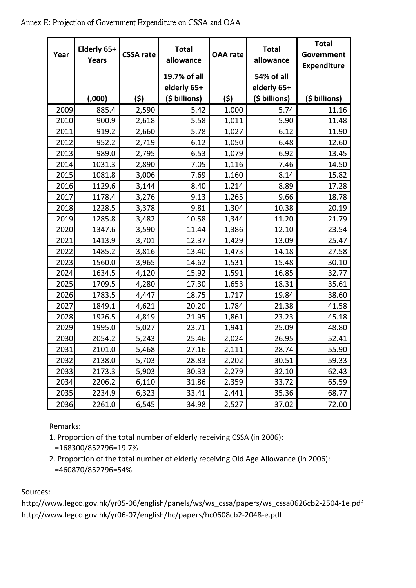| Year | Elderly 65+<br><b>Years</b> | <b>CSSA rate</b> | <b>Total</b><br>allowance   | <b>OAA</b> rate | <b>Total</b><br>allowance | <b>Total</b><br>Government<br><b>Expenditure</b> |
|------|-----------------------------|------------------|-----------------------------|-----------------|---------------------------|--------------------------------------------------|
|      |                             |                  | 19.7% of all<br>elderly 65+ |                 | 54% of all<br>elderly 65+ |                                                  |
|      | (0.000)                     | (5)              | (\$ billions)               | (5)             | (\$ billions)             | (\$ billions)                                    |
| 2009 | 885.4                       | 2,590            | 5.42                        | 1,000           | 5.74                      | 11.16                                            |
| 2010 | 900.9                       | 2,618            | 5.58                        | 1,011           | 5.90                      | 11.48                                            |
| 2011 | 919.2                       | 2,660            | 5.78                        | 1,027           | 6.12                      | 11.90                                            |
| 2012 | 952.2                       | 2,719            | 6.12                        | 1,050           | 6.48                      | 12.60                                            |
| 2013 | 989.0                       | 2,795            | 6.53                        | 1,079           | 6.92                      | 13.45                                            |
| 2014 | 1031.3                      | 2,890            | 7.05                        | 1,116           | 7.46                      | 14.50                                            |
| 2015 | 1081.8                      | 3,006            | 7.69                        | 1,160           | 8.14                      | 15.82                                            |
| 2016 | 1129.6                      | 3,144            | 8.40                        | 1,214           | 8.89                      | 17.28                                            |
| 2017 | 1178.4                      | 3,276            | 9.13                        | 1,265           | 9.66                      | 18.78                                            |
| 2018 | 1228.5                      | 3,378            | 9.81                        | 1,304           | 10.38                     | 20.19                                            |
| 2019 | 1285.8                      | 3,482            | 10.58                       | 1,344           | 11.20                     | 21.79                                            |
| 2020 | 1347.6                      | 3,590            | 11.44                       | 1,386           | 12.10                     | 23.54                                            |
| 2021 | 1413.9                      | 3,701            | 12.37                       | 1,429           | 13.09                     | 25.47                                            |
| 2022 | 1485.2                      | 3,816            | 13.40                       | 1,473           | 14.18                     | 27.58                                            |
| 2023 | 1560.0                      | 3,965            | 14.62                       | 1,531           | 15.48                     | 30.10                                            |
| 2024 | 1634.5                      | 4,120            | 15.92                       | 1,591           | 16.85                     | 32.77                                            |
| 2025 | 1709.5                      | 4,280            | 17.30                       | 1,653           | 18.31                     | 35.61                                            |
| 2026 | 1783.5                      | 4,447            | 18.75                       | 1,717           | 19.84                     | 38.60                                            |
| 2027 | 1849.1                      | 4,621            | 20.20                       | 1,784           | 21.38                     | 41.58                                            |
| 2028 | 1926.5                      | 4,819            | 21.95                       | 1,861           | 23.23                     | 45.18                                            |
| 2029 | 1995.0                      | 5,027            | 23.71                       | 1,941           | 25.09                     | 48.80                                            |
| 2030 | 2054.2                      | 5,243            | 25.46                       | 2,024           | 26.95                     | 52.41                                            |
| 2031 | 2101.0                      | 5,468            | 27.16                       | 2,111           | 28.74                     | 55.90                                            |
| 2032 | 2138.0                      | 5,703            | 28.83                       | 2,202           | 30.51                     | 59.33                                            |
| 2033 | 2173.3                      | 5,903            | 30.33                       | 2,279           | 32.10                     | 62.43                                            |
| 2034 | 2206.2                      | 6,110            | 31.86                       | 2,359           | 33.72                     | 65.59                                            |
| 2035 | 2234.9                      | 6,323            | 33.41                       | 2,441           | 35.36                     | 68.77                                            |
| 2036 | 2261.0                      | 6,545            | 34.98                       | 2,527           | 37.02                     | 72.00                                            |

## Annex E: Projection of Government Expenditure on CSSA and OAA

Remarks:

1. Proportion of the total number of elderly receiving CSSA (in 2006):

=168300/852796=19.7%

2. Proportion of the total number of elderly receiving Old Age Allowance (in 2006): =460870/852796=54%

Sources:

http://www.legco.gov.hk/yr05‐06/english/panels/ws/ws\_cssa/papers/ws\_cssa0626cb2‐2504‐1e.pdf http://www.legco.gov.hk/yr06‐07/english/hc/papers/hc0608cb2‐2048‐e.pdf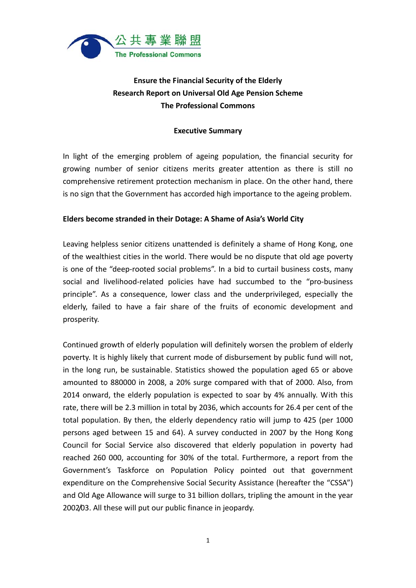

# **Ensure the Financial Security of the Elderly Research Report on Universal Old Age Pension Scheme The Professional Commons**

#### **Executive Summary**

In light of the emerging problem of ageing population, the financial security for growing number of senior citizens merits greater attention as there is still no comprehensive retirement protection mechanism in place. On the other hand, there is no sign that the Government has accorded high importance to the ageing problem.

#### **Elders become stranded in their Dotage: A Shame of Asia's World City**

Leaving helpless senior citizens unattended is definitely a shame of Hong Kong, one of the wealthiest cities in the world. There would be no dispute that old age poverty is one of the "deep‐rooted social problems". In a bid to curtail business costs, many social and livelihood‐related policies have had succumbed to the "pro‐business principle". As a consequence, lower class and the underprivileged, especially the elderly, failed to have a fair share of the fruits of economic development and prosperity.

Continued growth of elderly population will definitely worsen the problem of elderly poverty. It is highly likely that current mode of disbursement by public fund will not, in the long run, be sustainable. Statistics showed the population aged 65 or above amounted to 880000 in 2008, a 20% surge compared with that of 2000. Also, from 2014 onward, the elderly population is expected to soar by 4% annually. With this rate, there will be 2.3 million in total by 2036, which accounts for 26.4 per cent of the total population. By then, the elderly dependency ratio will jump to 425 (per 1000 persons aged between 15 and 64). A survey conducted in 2007 by the Hong Kong Council for Social Service also discovered that elderly population in poverty had reached 260 000, accounting for 30% of the total. Furthermore, a report from the Government's Taskforce on Population Policy pointed out that government expenditure on the Comprehensive Social Security Assistance (hereafter the "CSSA") and Old Age Allowance will surge to 31 billion dollars, tripling the amount in the year 2002/03. All these will put our public finance in jeopardy.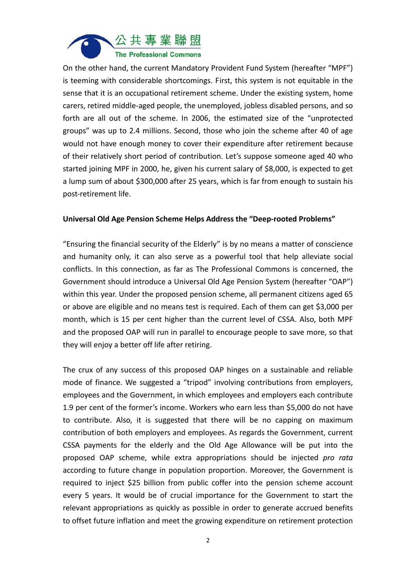

On the other hand, the current Mandatory Provident Fund System (hereafter "MPF") is teeming with considerable shortcomings. First, this system is not equitable in the sense that it is an occupational retirement scheme. Under the existing system, home carers, retired middle‐aged people, the unemployed, jobless disabled persons, and so forth are all out of the scheme. In 2006, the estimated size of the "unprotected groups" was up to 2.4 millions. Second, those who join the scheme after 40 of age would not have enough money to cover their expenditure after retirement because of their relatively short period of contribution. Let's suppose someone aged 40 who started joining MPF in 2000, he, given his current salary of \$8,000, is expected to get a lump sum of about \$300,000 after 25 years, which is far from enough to sustain his post‐retirement life.

#### **Universal Old Age Pension Scheme Helps Address the "Deep‐rooted Problems"**

"Ensuring the financial security of the Elderly" is by no means a matter of conscience and humanity only, it can also serve as a powerful tool that help alleviate social conflicts. In this connection, as far as The Professional Commons is concerned, the Government should introduce a Universal Old Age Pension System (hereafter "OAP") within this year. Under the proposed pension scheme, all permanent citizens aged 65 or above are eligible and no means test is required. Each of them can get \$3,000 per month, which is 15 per cent higher than the current level of CSSA. Also, both MPF and the proposed OAP will run in parallel to encourage people to save more, so that they will enjoy a better off life after retiring.

The crux of any success of this proposed OAP hinges on a sustainable and reliable mode of finance. We suggested a "tripod" involving contributions from employers, employees and the Government, in which employees and employers each contribute 1.9 per cent of the former's income. Workers who earn less than \$5,000 do not have to contribute. Also, it is suggested that there will be no capping on maximum contribution of both employers and employees. As regards the Government, current CSSA payments for the elderly and the Old Age Allowance will be put into the proposed OAP scheme, while extra appropriations should be injected *pro rata* according to future change in population proportion. Moreover, the Government is required to inject \$25 billion from public coffer into the pension scheme account every 5 years. It would be of crucial importance for the Government to start the relevant appropriations as quickly as possible in order to generate accrued benefits to offset future inflation and meet the growing expenditure on retirement protection